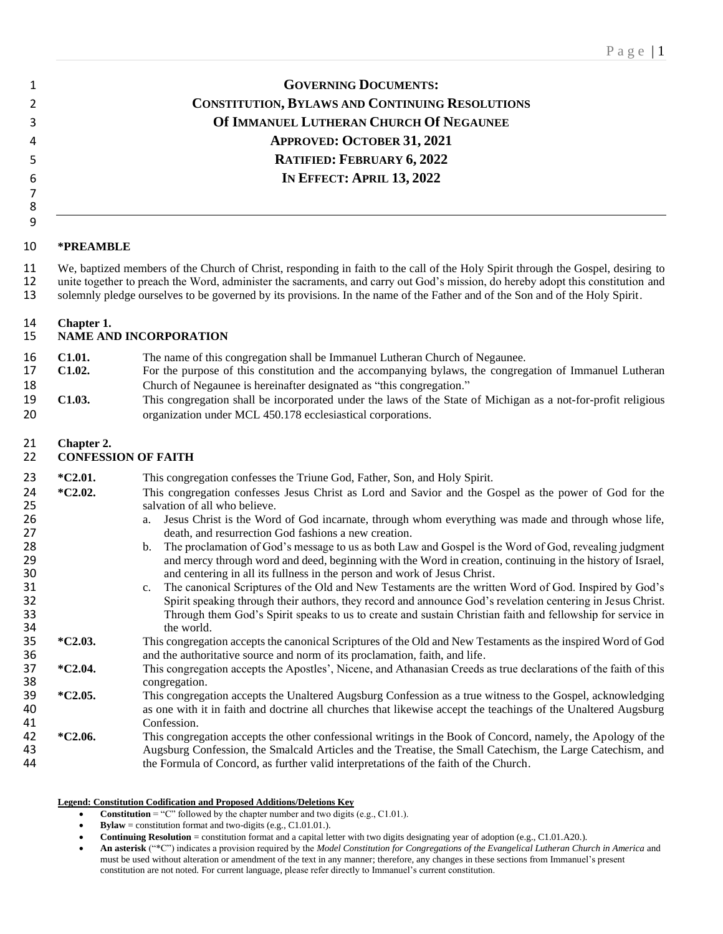### **GOVERNING DOCUMENTS: CONSTITUTION, BYLAWS AND CONTINUING RESOLUTIONS Of IMMANUEL LUTHERAN CHURCH Of NEGAUNEE APPROVED: OCTOBER 31, 2021 RATIFIED: FEBRUARY 6, 2022 IN EFFECT: APRIL 13, 2022**

#### **\*PREAMBLE**

 

11 We, baptized members of the Church of Christ, responding in faith to the call of the Holy Spirit through the Gospel, desiring to<br>12 unite together to preach the Word, administer the sacraments, and carry out God's missi unite together to preach the Word, administer the sacraments, and carry out God's mission, do hereby adopt this constitution and solemnly pledge ourselves to be governed by its provisions. In the name of the Father and of the Son and of the Holy Spirit.

## **Chapter 1.**

#### **NAME AND INCORPORATION**

- 16 **C1.01.** The name of this congregation shall be Immanuel Lutheran Church of Negaunee.<br>17 **C1.02.** For the purpose of this constitution and the accompanying bylaws, the congreg **C1.02.** For the purpose of this constitution and the accompanying bylaws, the congregation of Immanuel Lutheran Church of Negaunee is hereinafter designated as "this congregation."
- **C1.03.** This congregation shall be incorporated under the laws of the State of Michigan as a not-for-profit religious organization under MCL 450.178 ecclesiastical corporations.

### **Chapter 2.**

#### **CONFESSION OF FAITH**

| 23       | $*C2.01.$ | This congregation confesses the Triune God, Father, Son, and Holy Spirit.                                                                                                                   |
|----------|-----------|---------------------------------------------------------------------------------------------------------------------------------------------------------------------------------------------|
| 24<br>25 | $*C2.02.$ | This congregation confesses Jesus Christ as Lord and Savior and the Gospel as the power of God for the<br>salvation of all who believe.                                                     |
| 26       |           | Jesus Christ is the Word of God incarnate, through whom everything was made and through whose life,<br>a.                                                                                   |
| 27       |           | death, and resurrection God fashions a new creation.                                                                                                                                        |
| 28       |           | The proclamation of God's message to us as both Law and Gospel is the Word of God, revealing judgment<br>b.                                                                                 |
| 29       |           | and mercy through word and deed, beginning with the Word in creation, continuing in the history of Israel,                                                                                  |
| 30       |           | and centering in all its fullness in the person and work of Jesus Christ.                                                                                                                   |
| 31       |           | The canonical Scriptures of the Old and New Testaments are the written Word of God. Inspired by God's<br>$c_{\cdot}$                                                                        |
| 32       |           | Spirit speaking through their authors, they record and announce God's revelation centering in Jesus Christ.                                                                                 |
| 33       |           | Through them God's Spirit speaks to us to create and sustain Christian faith and fellowship for service in                                                                                  |
| 34       |           | the world.                                                                                                                                                                                  |
| 35<br>36 | $*C2.03.$ | This congregation accepts the canonical Scriptures of the Old and New Testaments as the inspired Word of God<br>and the authoritative source and norm of its proclamation, faith, and life. |
| 37       | $*C2.04.$ | This congregation accepts the Apostles', Nicene, and Athanasian Creeds as true declarations of the faith of this                                                                            |
| 38       |           | congregation.                                                                                                                                                                               |
| 39       | $*C2.05.$ | This congregation accepts the Unaltered Augsburg Confession as a true witness to the Gospel, acknowledging                                                                                  |
| 40       |           | as one with it in faith and doctrine all churches that likewise accept the teachings of the Unaltered Augsburg                                                                              |
| 41       |           | Confession.                                                                                                                                                                                 |
| 42       | $*C2.06.$ | This congregation accepts the other confessional writings in the Book of Concord, namely, the Apology of the                                                                                |

 **\*C2.06.** This congregation accepts the other confessional writings in the Book of Concord, namely, the Apology of the Augsburg Confession, the Smalcald Articles and the Treatise, the Small Catechism, the Large Catechism, and the Formula of Concord, as further valid interpretations of the faith of the Church.

#### **Legend: Constitution Codification and Proposed Additions/Deletions Key**

- **Constitution** = "C" followed by the chapter number and two digits (e.g., C1.01.).
- **Bylaw** = constitution format and two-digits (e.g.,  $C1.01.01$ .).
- **Continuing Resolution** = constitution format and a capital letter with two digits designating year of adoption (e.g., C1.01.A20.).

• **An asterisk** ("\*C") indicates a provision required by the *Model Constitution for Congregations of the Evangelical Lutheran Church in America* and must be used without alteration or amendment of the text in any manner; therefore, any changes in these sections from Immanuel's present constitution are not noted. For current language, please refer directly to Immanuel's current constitution.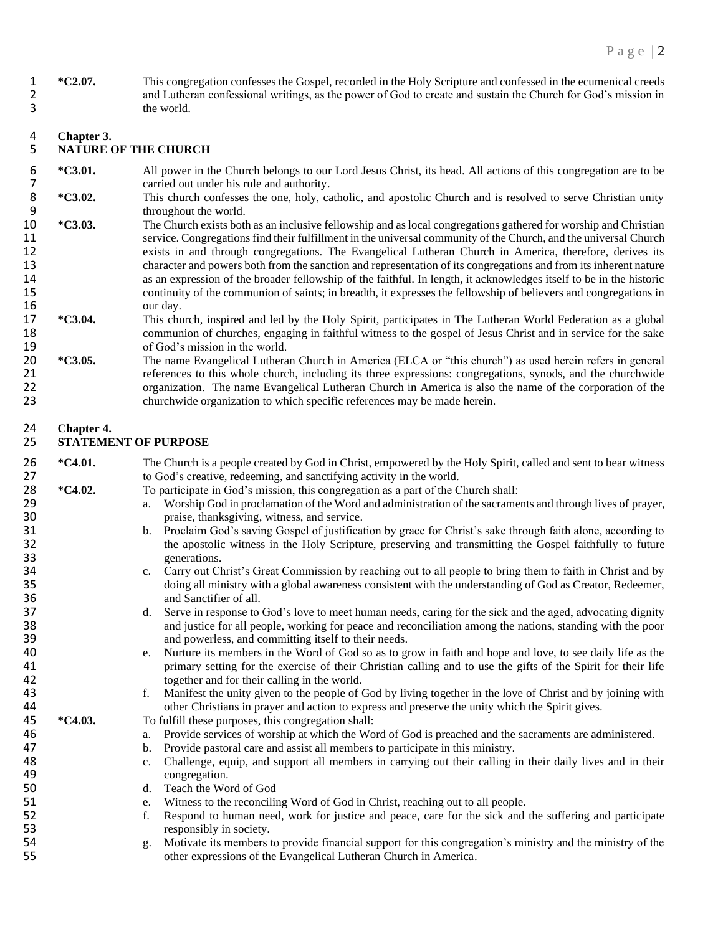1 **\*C2.07.** This congregation confesses the Gospel, recorded in the Holy Scripture and confessed in the ecumenical creeds 2 and Lutheran confessional writings, as the power of God to create and sustain the Church for God's mission in 3 the world.

# 4 **Chapter 3.**

### 5 **NATURE OF THE CHURCH**

- 6 **\*C3.01.** All power in the Church belongs to our Lord Jesus Christ, its head. All actions of this congregation are to be 7 carried out under his rule and authority.<br>8  $\text{*C3.02.}$  This church confesses the one, holy, ca
- 8 **\*C3.02.** This church confesses the one, holy, catholic, and apostolic Church and is resolved to serve Christian unity 9 throughout the world.
- 10 **\*C3.03.** The Church exists both as an inclusive fellowship and as local congregations gathered for worship and Christian 11 service. Congregations find their fulfillment in the universal community of the Church, and the universal Church 12 exists in and through congregations. The Evangelical Lutheran Church in America, therefore, derives its 13 character and powers both from the sanction and representation of its congregations and from its inherent nature<br>14 as an expression of the broader fellowship of the faithful. In length, it acknowledges itself to be in as an expression of the broader fellowship of the faithful. In length, it acknowledges itself to be in the historic 15 continuity of the communion of saints; in breadth, it expresses the fellowship of believers and congregations in our day. 16 our day.<br>17 \*C3.04. This chu
- 17 **\*C3.04.** This church, inspired and led by the Holy Spirit, participates in The Lutheran World Federation as a global 18 communion of churches, engaging in faithful witness to the gospel of Jesus Christ and in service for the sake 19 of God's mission in the world.<br>20  $\ast$ C3.05. The name Evangelical Luthera
- 20 **\*C3.05.** The name Evangelical Lutheran Church in America (ELCA or "this church") as used herein refers in general 21 references to this whole church, including its three expressions: congregations, synods, and the churchwide 22 organization. The name Evangelical Lutheran Church in America is also the name of the corporation of the church church video organization to which specific references may be made herein. churchwide organization to which specific references may be made herein.

### 24 **Chapter 4.**

### 25 **STATEMENT OF PURPOSE**

- **26** \*C4.01. The Church is a people created by God in Christ, empowered by the Holy Spirit, called and sent to bear witness 27 to God's creative, redeeming, and sanctifying activity in the world.
- <sup>\*</sup>C4.02. To participate in God's mission, this congregation as a part of the Church shall:<br>29 a. Worship God in proclamation of the Word and administration of the sacrame
- a. Worship God in proclamation of the Word and administration of the sacraments and through lives of prayer, 30 praise, thanksgiving, witness, and service.
- 31 b. Proclaim God's saving Gospel of justification by grace for Christ's sake through faith alone, according to the apostolic witness in the Holy Scripture, preserving and transmitting the Gospel faithfully to future 32 the apostolic witness in the Holy Scripture, preserving and transmitting the Gospel faithfully to future generations. 33 generations.<br>34 c. Carry out Cl
- 34 c. Carry out Christ's Great Commission by reaching out to all people to bring them to faith in Christ and by<br>35 doing all ministry with a global awareness consistent with the understanding of God as Creator, Redeemer, 35 doing all ministry with a global awareness consistent with the understanding of God as Creator, Redeemer, 36 and Sanctifier of all.
- 37 d. Serve in response to God's love to meet human needs, caring for the sick and the aged, advocating dignity 38 and justice for all people, working for peace and reconciliation among the nations, standing with the poor
- 39 and powerless, and committing itself to their needs.<br>40 e. Nurture its members in the Word of God so as to gr 40 e. Nurture its members in the Word of God so as to grow in faith and hope and love, to see daily life as the 41 primary setting for the exercise of their Christian calling and to use the gifts of the Spirit for their life 42 42 together and for their calling in the world.<br>43 f. Manifest the unity given to the people of (
- 43 f. Manifest the unity given to the people of God by living together in the love of Christ and by joining with other Christians in prayer and action to express and preserve the unity which the Spirit gives. 44 other Christians in prayer and action to express and preserve the unity which the Spirit gives.<br>45 \*C4.03. To fulfill these purposes, this congregation shall:
	- To fulfill these purposes, this congregation shall:
- 46 a. Provide services of worship at which the Word of God is preached and the sacraments are administered.
- 47 b. Provide pastoral care and assist all members to participate in this ministry.<br>48 c. Challenge, equip, and support all members in carrying out their calling in
- 48 c. Challenge, equip, and support all members in carrying out their calling in their daily lives and in their 49 congregation.
- 50 d. Teach the Word of God
- 51 e. Witness to the reconciling Word of God in Christ, reaching out to all people.
- 52 f. Respond to human need, work for justice and peace, care for the sick and the suffering and participate responsibly in society.
- 53 responsibly in society.<br>54 responsibly in society. 54 g. Motivate its members to provide financial support for this congregation's ministry and the ministry of the 55 other expressions of the Evangelical Lutheran Church in America.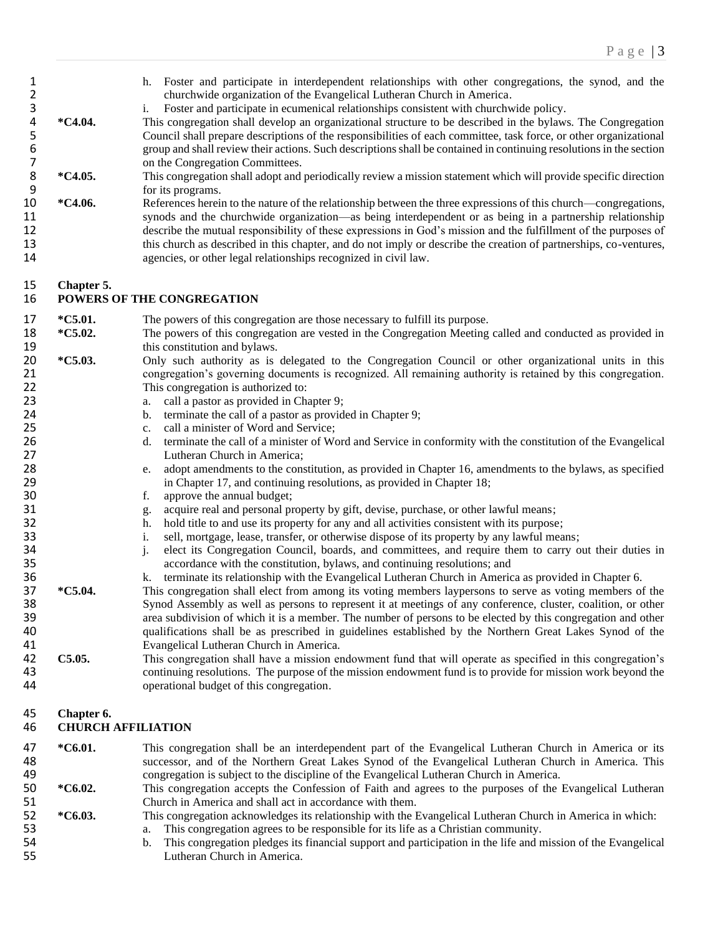| 1<br>$\overline{2}$<br>3<br>$\pmb{4}$<br>5<br>$\boldsymbol{6}$<br>$\overline{7}$ | *C4.04.                                 | Foster and participate in interdependent relationships with other congregations, the synod, and the<br>h.<br>churchwide organization of the Evangelical Lutheran Church in America.<br>Foster and participate in ecumenical relationships consistent with churchwide policy.<br>i.<br>This congregation shall develop an organizational structure to be described in the bylaws. The Congregation<br>Council shall prepare descriptions of the responsibilities of each committee, task force, or other organizational<br>group and shall review their actions. Such descriptions shall be contained in continuing resolutions in the section<br>on the Congregation Committees.                                          |
|----------------------------------------------------------------------------------|-----------------------------------------|---------------------------------------------------------------------------------------------------------------------------------------------------------------------------------------------------------------------------------------------------------------------------------------------------------------------------------------------------------------------------------------------------------------------------------------------------------------------------------------------------------------------------------------------------------------------------------------------------------------------------------------------------------------------------------------------------------------------------|
| $\,8$                                                                            | *C4.05.                                 | This congregation shall adopt and periodically review a mission statement which will provide specific direction                                                                                                                                                                                                                                                                                                                                                                                                                                                                                                                                                                                                           |
| 9<br>10<br>11<br>12<br>13<br>14                                                  | *C4.06.                                 | for its programs.<br>References herein to the nature of the relationship between the three expressions of this church—congregations,<br>synods and the churchwide organization—as being interdependent or as being in a partnership relationship<br>describe the mutual responsibility of these expressions in God's mission and the fulfillment of the purposes of<br>this church as described in this chapter, and do not imply or describe the creation of partnerships, co-ventures,<br>agencies, or other legal relationships recognized in civil law.                                                                                                                                                               |
| 15<br>16                                                                         | Chapter 5.                              | POWERS OF THE CONGREGATION                                                                                                                                                                                                                                                                                                                                                                                                                                                                                                                                                                                                                                                                                                |
| 17<br>18<br>19                                                                   | *C5.01.<br>*C5.02.                      | The powers of this congregation are those necessary to fulfill its purpose.<br>The powers of this congregation are vested in the Congregation Meeting called and conducted as provided in<br>this constitution and bylaws.                                                                                                                                                                                                                                                                                                                                                                                                                                                                                                |
| 20<br>21<br>22<br>23<br>24                                                       | *C5.03.                                 | Only such authority as is delegated to the Congregation Council or other organizational units in this<br>congregation's governing documents is recognized. All remaining authority is retained by this congregation.<br>This congregation is authorized to:<br>call a pastor as provided in Chapter 9;<br>a.<br>terminate the call of a pastor as provided in Chapter 9;<br>b.                                                                                                                                                                                                                                                                                                                                            |
| 25<br>26<br>27<br>28                                                             |                                         | call a minister of Word and Service;<br>c.<br>terminate the call of a minister of Word and Service in conformity with the constitution of the Evangelical<br>d.<br>Lutheran Church in America;<br>adopt amendments to the constitution, as provided in Chapter 16, amendments to the bylaws, as specified<br>e.                                                                                                                                                                                                                                                                                                                                                                                                           |
| 29<br>30<br>31<br>32<br>33<br>34<br>35<br>36                                     |                                         | in Chapter 17, and continuing resolutions, as provided in Chapter 18;<br>approve the annual budget;<br>f.<br>acquire real and personal property by gift, devise, purchase, or other lawful means;<br>g.<br>hold title to and use its property for any and all activities consistent with its purpose;<br>h.<br>sell, mortgage, lease, transfer, or otherwise dispose of its property by any lawful means;<br>i.<br>j.<br>elect its Congregation Council, boards, and committees, and require them to carry out their duties in<br>accordance with the constitution, bylaws, and continuing resolutions; and<br>terminate its relationship with the Evangelical Lutheran Church in America as provided in Chapter 6.<br>k. |
| 37<br>38<br>39<br>40<br>41                                                       | *C5.04.                                 | This congregation shall elect from among its voting members laypersons to serve as voting members of the<br>Synod Assembly as well as persons to represent it at meetings of any conference, cluster, coalition, or other<br>area subdivision of which it is a member. The number of persons to be elected by this congregation and other<br>qualifications shall be as prescribed in guidelines established by the Northern Great Lakes Synod of the<br>Evangelical Lutheran Church in America.                                                                                                                                                                                                                          |
| 42<br>43<br>44                                                                   | C5.05.                                  | This congregation shall have a mission endowment fund that will operate as specified in this congregation's<br>continuing resolutions. The purpose of the mission endowment fund is to provide for mission work beyond the<br>operational budget of this congregation.                                                                                                                                                                                                                                                                                                                                                                                                                                                    |
| 45<br>46                                                                         | Chapter 6.<br><b>CHURCH AFFILIATION</b> |                                                                                                                                                                                                                                                                                                                                                                                                                                                                                                                                                                                                                                                                                                                           |
| 47<br>48                                                                         | *C6.01.                                 | This congregation shall be an interdependent part of the Evangelical Lutheran Church in America or its<br>successor, and of the Northern Great Lakes Synod of the Evangelical Lutheran Church in America. This                                                                                                                                                                                                                                                                                                                                                                                                                                                                                                            |
| 49<br>50<br>51                                                                   | *C6.02.                                 | congregation is subject to the discipline of the Evangelical Lutheran Church in America.<br>This congregation accepts the Confession of Faith and agrees to the purposes of the Evangelical Lutheran<br>Church in America and shall act in accordance with them.                                                                                                                                                                                                                                                                                                                                                                                                                                                          |
| 52<br>53<br>54                                                                   | *C6.03.                                 | This congregation acknowledges its relationship with the Evangelical Lutheran Church in America in which:<br>This congregation agrees to be responsible for its life as a Christian community.<br>a.<br>This congregation pledges its financial support and participation in the life and mission of the Evangelical<br>b.                                                                                                                                                                                                                                                                                                                                                                                                |

- Lutheran Church in America.
-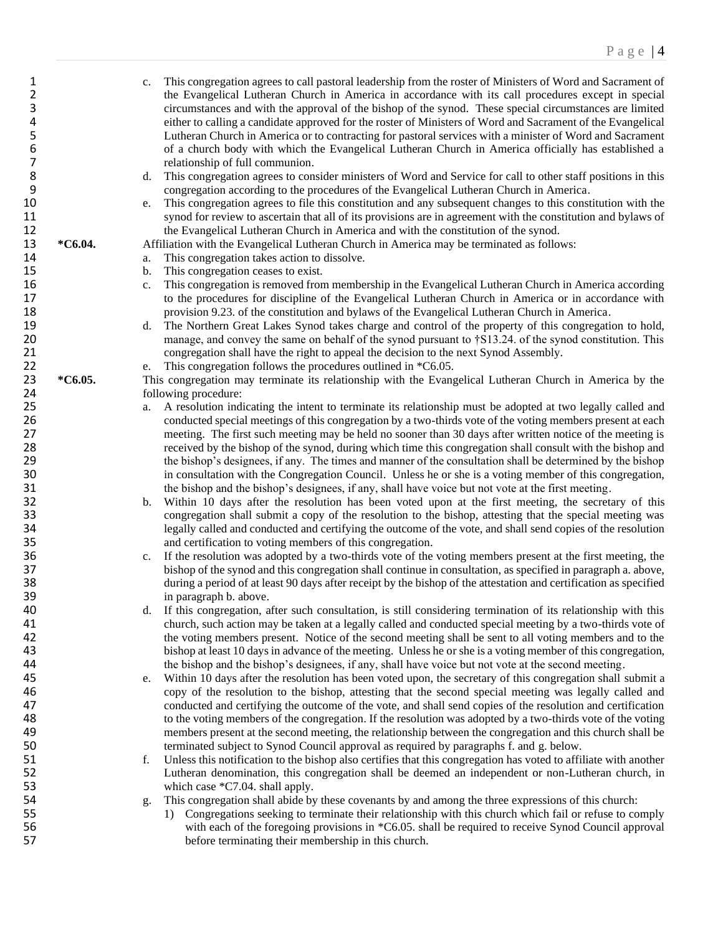| 1              |         | c.             | This congregation agrees to call pastoral leadership from the roster of Ministers of Word and Sacrament of        |
|----------------|---------|----------------|-------------------------------------------------------------------------------------------------------------------|
| $\overline{2}$ |         |                | the Evangelical Lutheran Church in America in accordance with its call procedures except in special               |
| 3              |         |                | circumstances and with the approval of the bishop of the synod. These special circumstances are limited           |
| 4              |         |                | either to calling a candidate approved for the roster of Ministers of Word and Sacrament of the Evangelical       |
| 5              |         |                | Lutheran Church in America or to contracting for pastoral services with a minister of Word and Sacrament          |
| 6              |         |                | of a church body with which the Evangelical Lutheran Church in America officially has established a               |
| 7              |         |                | relationship of full communion.                                                                                   |
| 8              |         |                | This congregation agrees to consider ministers of Word and Service for call to other staff positions in this      |
| 9              |         | d.             |                                                                                                                   |
|                |         |                | congregation according to the procedures of the Evangelical Lutheran Church in America.                           |
| 10             |         | e.             | This congregation agrees to file this constitution and any subsequent changes to this constitution with the       |
| 11             |         |                | synod for review to ascertain that all of its provisions are in agreement with the constitution and bylaws of     |
| 12             |         |                | the Evangelical Lutheran Church in America and with the constitution of the synod.                                |
| 13             | *C6.04. |                | Affiliation with the Evangelical Lutheran Church in America may be terminated as follows:                         |
| 14             |         | a.             | This congregation takes action to dissolve.                                                                       |
| 15             |         | $\mathbf{b}$ . | This congregation ceases to exist.                                                                                |
| 16             |         | c.             | This congregation is removed from membership in the Evangelical Lutheran Church in America according              |
| 17             |         |                | to the procedures for discipline of the Evangelical Lutheran Church in America or in accordance with              |
| 18             |         |                | provision 9.23. of the constitution and bylaws of the Evangelical Lutheran Church in America.                     |
| 19             |         | d.             | The Northern Great Lakes Synod takes charge and control of the property of this congregation to hold,             |
| 20             |         |                | manage, and convey the same on behalf of the synod pursuant to †S13.24. of the synod constitution. This           |
| 21             |         |                | congregation shall have the right to appeal the decision to the next Synod Assembly.                              |
| 22             |         | e.             | This congregation follows the procedures outlined in *C6.05.                                                      |
| 23             | *C6.05. |                | This congregation may terminate its relationship with the Evangelical Lutheran Church in America by the           |
| 24             |         |                | following procedure:                                                                                              |
| 25             |         | a.             | A resolution indicating the intent to terminate its relationship must be adopted at two legally called and        |
| 26             |         |                | conducted special meetings of this congregation by a two-thirds vote of the voting members present at each        |
| 27             |         |                | meeting. The first such meeting may be held no sooner than 30 days after written notice of the meeting is         |
| 28             |         |                | received by the bishop of the synod, during which time this congregation shall consult with the bishop and        |
| 29             |         |                | the bishop's designees, if any. The times and manner of the consultation shall be determined by the bishop        |
| 30             |         |                | in consultation with the Congregation Council. Unless he or she is a voting member of this congregation,          |
|                |         |                |                                                                                                                   |
| 31             |         |                | the bishop and the bishop's designees, if any, shall have voice but not vote at the first meeting.                |
| 32             |         | b.             | Within 10 days after the resolution has been voted upon at the first meeting, the secretary of this               |
| 33             |         |                | congregation shall submit a copy of the resolution to the bishop, attesting that the special meeting was          |
| 34             |         |                | legally called and conducted and certifying the outcome of the vote, and shall send copies of the resolution      |
| 35             |         |                | and certification to voting members of this congregation.                                                         |
| 36             |         | c.             | If the resolution was adopted by a two-thirds vote of the voting members present at the first meeting, the        |
| 37             |         |                | bishop of the synod and this congregation shall continue in consultation, as specified in paragraph a. above,     |
| 38             |         |                | during a period of at least 90 days after receipt by the bishop of the attestation and certification as specified |
| 39             |         |                | in paragraph b. above.                                                                                            |
| 40             |         |                | d. If this congregation, after such consultation, is still considering termination of its relationship with this  |
| 41             |         |                | church, such action may be taken at a legally called and conducted special meeting by a two-thirds vote of        |
| 42             |         |                | the voting members present. Notice of the second meeting shall be sent to all voting members and to the           |
| 43             |         |                | bishop at least 10 days in advance of the meeting. Unless he or she is a voting member of this congregation,      |
| 44             |         |                | the bishop and the bishop's designees, if any, shall have voice but not vote at the second meeting.               |
| 45             |         | e.             | Within 10 days after the resolution has been voted upon, the secretary of this congregation shall submit a        |
| 46             |         |                | copy of the resolution to the bishop, attesting that the second special meeting was legally called and            |
| 47             |         |                | conducted and certifying the outcome of the vote, and shall send copies of the resolution and certification       |
| 48             |         |                | to the voting members of the congregation. If the resolution was adopted by a two-thirds vote of the voting       |
| 49             |         |                | members present at the second meeting, the relationship between the congregation and this church shall be         |
| 50             |         |                | terminated subject to Synod Council approval as required by paragraphs f. and g. below.                           |
| 51             |         | f.             | Unless this notification to the bishop also certifies that this congregation has voted to affiliate with another  |
| 52             |         |                | Lutheran denomination, this congregation shall be deemed an independent or non-Lutheran church, in                |
| 53             |         |                | which case *C7.04. shall apply.                                                                                   |
| 54             |         |                | This congregation shall abide by these covenants by and among the three expressions of this church:               |
|                |         | g.             |                                                                                                                   |
| 55             |         |                | 1) Congregations seeking to terminate their relationship with this church which fail or refuse to comply          |
| 56             |         |                | with each of the foregoing provisions in *C6.05. shall be required to receive Synod Council approval              |
| 57             |         |                | before terminating their membership in this church.                                                               |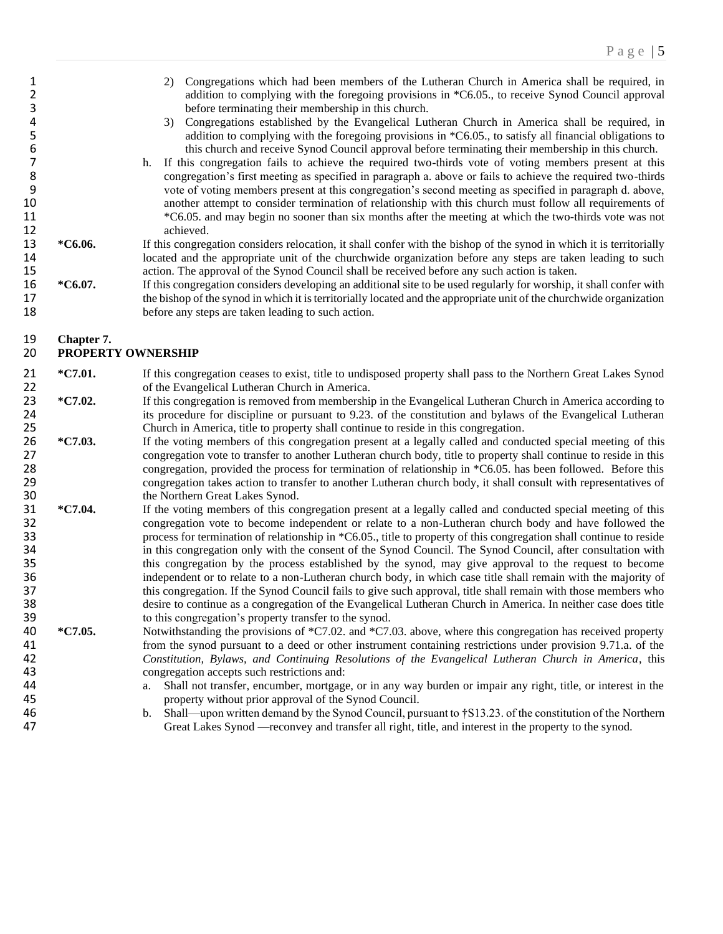- 2) Congregations which had been members of the Lutheran Church in America shall be required, in addition to complying with the foregoing provisions in \*C6.05., to receive Synod Council approval addition to complying with the foregoing provisions in \*C6.05., to receive Synod Council approval 3 before terminating their membership in this church.
- 4 3) Congregations established by the Evangelical Lutheran Church in America shall be required, in addition to complying with the foregoing provisions in \*C6.05., to satisfy all financial obligations to 5 addition to complying with the foregoing provisions in \*C6.05., to satisfy all financial obligations to<br>6 this church and receive Synod Council approval before terminating their membership in this church.
- 6 this church and receive Synod Council approval before terminating their membership in this church.<br>
17 h. If this congregation fails to achieve the required two-thirds vote of voting members present at this 7 h. If this congregation fails to achieve the required two-thirds vote of voting members present at this congregation's first meeting as specified in paragraph a. above or fails to achieve the required two-thirds 8 congregation's first meeting as specified in paragraph a. above or fails to achieve the required two-thirds<br>9 yote of voting members present at this congregation's second meeting as specified in paragraph d. above, 9 vote of voting members present at this congregation's second meeting as specified in paragraph d. above,<br>20 another attempt to consider termination of relationship with this church must follow all requirements of another attempt to consider termination of relationship with this church must follow all requirements of 11 \*C6.05. and may begin no sooner than six months after the meeting at which the two-thirds vote was not 12 achieved.
- 13 **\*C6.06.** If this congregation considers relocation, it shall confer with the bishop of the synod in which it is territorially 14 located and the appropriate unit of the churchwide organization before any steps are taken leading to such action. The approval of the Synod Council shall be received before any such action is taken. 15 action. The approval of the Synod Council shall be received before any such action is taken.<br>16 \*C6.07. If this congregation considers developing an additional site to be used regularly for worship, i
- 16 **\*C6.07.** If this congregation considers developing an additional site to be used regularly for worship, it shall confer with 17 the bishop of the synod in which it is territorially located and the appropriate unit of the churchwide organization<br>18 before any steps are taken leading to such action. before any steps are taken leading to such action.

# 19 **Chapter 7.**

#### 20 **PROPERTY OWNERSHIP**

- 21 **\*C7.01.** If this congregation ceases to exist, title to undisposed property shall pass to the Northern Great Lakes Synod 22 of the Evangelical Lutheran Church in America.<br>23 \*C7.02. If this congregation is removed from membership
- <sup>\*</sup>C7.02. If this congregation is removed from membership in the Evangelical Lutheran Church in America according to<br>24 its procedure for discipline or pursuant to 9.23, of the constitution and bylaws of the Evangelical Lu 24 its procedure for discipline or pursuant to 9.23. of the constitution and bylaws of the Evangelical Lutheran<br>25 Church in America, title to property shall continue to reside in this congregation. 25 Church in America, title to property shall continue to reside in this congregation.<br>26 \*C7.03. If the voting members of this congregation present at a legally called and condi
- <sup>\*</sup>C7.03. If the voting members of this congregation present at a legally called and conducted special meeting of this congregation vote to transfer to another Lutheran church body, title to property shall continue to resi 27 congregation vote to transfer to another Lutheran church body, title to property shall continue to reside in this<br>28 congregation, provided the process for termination of relationship in \*C6.05, has been followed. Befor 28 congregation, provided the process for termination of relationship in \*C6.05. has been followed. Before this<br>29 congregation takes action to transfer to another Lutheran church body, it shall consult with representative 29 congregation takes action to transfer to another Lutheran church body, it shall consult with representatives of<br>30 the Northern Great Lakes Synod. the Northern Great Lakes Synod.
- 31 **\*C7.04.** If the voting members of this congregation present at a legally called and conducted special meeting of this 32 congregation vote to become independent or relate to a non-Lutheran church body and have followed the 33 process for termination of relationship in \*C6.05., title to property of this congregation shall continue to reside 34 in this congregation only with the consent of the Synod Council. The Synod Council, after consultation with<br>35 in this congregation by the process established by the synod, may give approval to the request to become 35 this congregation by the process established by the synod, may give approval to the request to become independent or to relate to a non-Lutheran church body, in which case title shall remain with the majority of 36 independent or to relate to a non-Lutheran church body, in which case title shall remain with the majority of this congregation. If the Synod Council fails to give such approval, title shall remain with those members wh 37 this congregation. If the Synod Council fails to give such approval, title shall remain with those members who<br>38 desire to continue as a congregation of the Evangelical Lutheran Church in America. In neither case does 38 desire to continue as a congregation of the Evangelical Lutheran Church in America. In neither case does title<br>39 to this congregation's property transfer to the synod. 39 to this congregation's property transfer to the synod.<br>40  $\text{*C7.05}$ . Notwithstanding the provisions of  $\text{*C7.02}$  and  $\text{*C7.03}$ .
- <sup>\*</sup>C7.05. Notwithstanding the provisions of \*C7.02. and \*C7.03. above, where this congregation has received property from the synod pursuant to a deed or other instrument containing restrictions under provision 9.71.a. of from the synod pursuant to a deed or other instrument containing restrictions under provision 9.71.a. of the 42 *Constitution, Bylaws, and Continuing Resolutions of the Evangelical Lutheran Church in America*, this 43 congregation accepts such restrictions and:<br>44 a. Shall not transfer, encumber, mortgage
- 44 a. Shall not transfer, encumber, mortgage, or in any way burden or impair any right, title, or interest in the property without prior approval of the Synod Council. property without prior approval of the Synod Council.
- 46 b. Shall—upon written demand by the Synod Council, pursuant to †S13.23. of the constitution of the Northern Great Lakes Synod —reconvey and transfer all right, title, and interest in the property to the synod. Great Lakes Synod —reconvey and transfer all right, title, and interest in the property to the synod.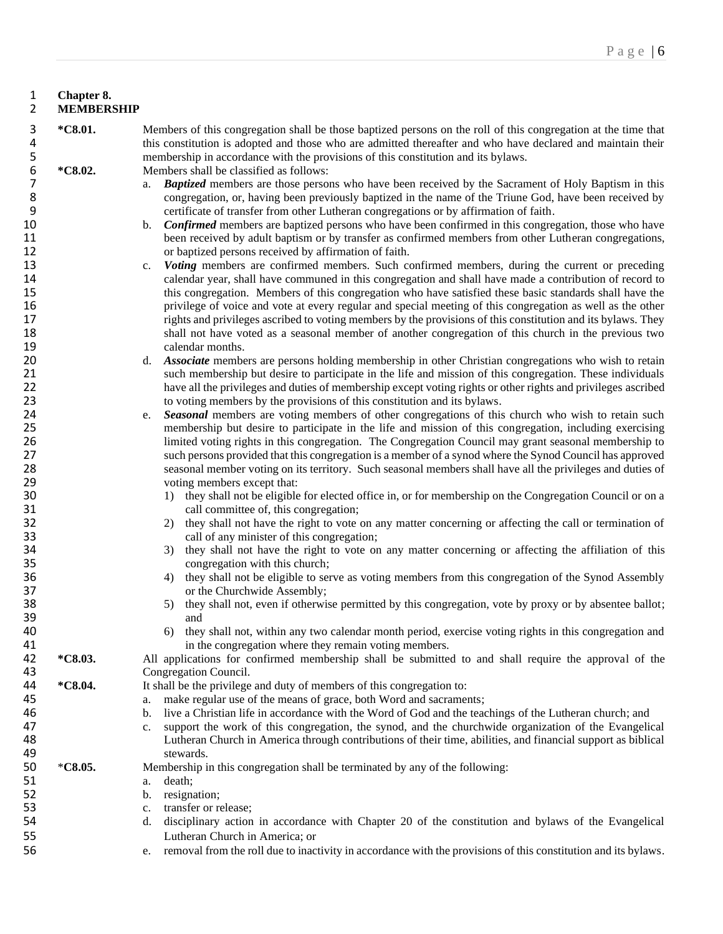#### 1 **Chapter 8.** 2 **MEMBERSHIP**

- 3 **\*C8.01.** Members of this congregation shall be those baptized persons on the roll of this congregation at the time that 4 this constitution is adopted and those who are admitted thereafter and who have declared and maintain their<br>5 membership in accordance with the provisions of this constitution and its bylaws. 5 membership in accordance with the provisions of this constitution and its bylaws.<br>6 \*C8.02. Members shall be classified as follows: Members shall be classified as follows: 7 a. *Baptized* members are those persons who have been received by the Sacrament of Holy Baptism in this congregation, or, having been previously baptized in the name of the Triune God, have been received by
- 8 congregation, or, having been previously baptized in the name of the Triune God, have been received by<br>9 9 certificate of transfer from other Lutheran congregations or by affirmation of faith.
- 10 b. *Confirmed* members are baptized persons who have been confirmed in this congregation, those who have 11 been received by adult baptism or by transfer as confirmed members from other Lutheran congregations,<br>12 or baptized persons received by affirmation of faith. or baptized persons received by affirmation of faith.
- 13 c. *Voting* members are confirmed members. Such confirmed members, during the current or preceding calendar year, shall have communed in this congregation and shall have made a contribution of record to 14 calendar year, shall have communed in this congregation and shall have made a contribution of record to<br>15 this congregation. Members of this congregation who have satisfied these basic standards shall have the 15 this congregation. Members of this congregation who have satisfied these basic standards shall have the privilege of voice and vote at every regular and special meeting of this congregation as well as the other 16 16 privilege of voice and vote at every regular and special meeting of this congregation as well as the other<br>17 prights and privileges ascribed to voting members by the provisions of this constitution and its bylaws. T rights and privileges ascribed to voting members by the provisions of this constitution and its bylaws. They 18 shall not have voted as a seasonal member of another congregation of this church in the previous two 19 calendar months.<br>20 d. Associate members
- 20 d. *Associate* members are persons holding membership in other Christian congregations who wish to retain 21 such membership but desire to participate in the life and mission of this congregation. These individuals 22 have all the privileges and duties of membership except voting rights or other rights and privileges ascribed<br>23 to voting members by the provisions of this constitution and its bylaws. 23 to voting members by the provisions of this constitution and its bylaws.<br>24 e. Seasonal members are voting members of other congregations of this
- 24 e. *Seasonal* members are voting members of other congregations of this church who wish to retain such membership but desire to participate in the life and mission of this congregation, including exercising 25 membership but desire to participate in the life and mission of this congregation, including exercising<br>26 imited voting rights in this congregation. The Congregation Council may grant seasonal membership to 26 limited voting rights in this congregation. The Congregation Council may grant seasonal membership to<br>27 such persons provided that this congregation is a member of a synod where the Synod Council has approved 27 such persons provided that this congregation is a member of a synod where the Synod Council has approved<br>28 seasonal member voting on its territory. Such seasonal members shall have all the privileges and duties of 28 seasonal member voting on its territory. Such seasonal members shall have all the privileges and duties of voting members except that: 29 voting members except that:<br>30 1) they shall not be eligible
- 30 1) they shall not be eligible for elected office in, or for membership on the Congregation Council or on a 31 call committee of, this congregation;
- 32 2) they shall not have the right to vote on any matter concerning or affecting the call or termination of 33 call of any minister of this congregation;
- 34 3) they shall not have the right to vote on any matter concerning or affecting the affiliation of this concerne ation with this church: 35 congregation with this church;<br>36 4) they shall not be eligible to ser
- 36 4) they shall not be eligible to serve as voting members from this congregation of the Synod Assembly<br>37 37 or the Churchwide Assembly;<br>38 5) they shall not, even if otherwi
- 38 5) they shall not, even if otherwise permitted by this congregation, vote by proxy or by absentee ballot;<br>39 39 and
- 40 6) they shall not, within any two calendar month period, exercise voting rights in this congregation and in the congregation where they remain voting members.
- 41 in the congregation where they remain voting members.<br>42 \*C8.03. All applications for confirmed membership shall be submitted 42 **\*C8.03.** All applications for confirmed membership shall be submitted to and shall require the approval of the 43 Congregation Council.<br>44 **\*C8.04.** It shall be the privilege
- **44 \*C8.04.** It shall be the privilege and duty of members of this congregation to:<br>45 **a** make regular use of the means of grace, both Word and sacrament
	- a. make regular use of the means of grace, both Word and sacraments;
- 46 b. live a Christian life in accordance with the Word of God and the teachings of the Lutheran church; and c. support the work of this congregation, the synod, and the churchwide organization of the Evangelic
- 47 c. support the work of this congregation, the synod, and the churchwide organization of the Evangelical 48 Lutheran Church in America through contributions of their time, abilities, and financial support as biblical 48 Lutheran Church in America through contributions of their time, abilities, and financial support as biblical stewards.
- 49 stewards.<br>50 \*C8.05. Membership i Membership in this congregation shall be terminated by any of the following:
- 51 a. death;
- 52 b. resignation;<br>53 c. transfer or re
	- c. transfer or release;
- 54 d. disciplinary action in accordance with Chapter 20 of the constitution and bylaws of the Evangelical 55 Lutheran Church in America; or
- 56 e. removal from the roll due to inactivity in accordance with the provisions of this constitution and its bylaws.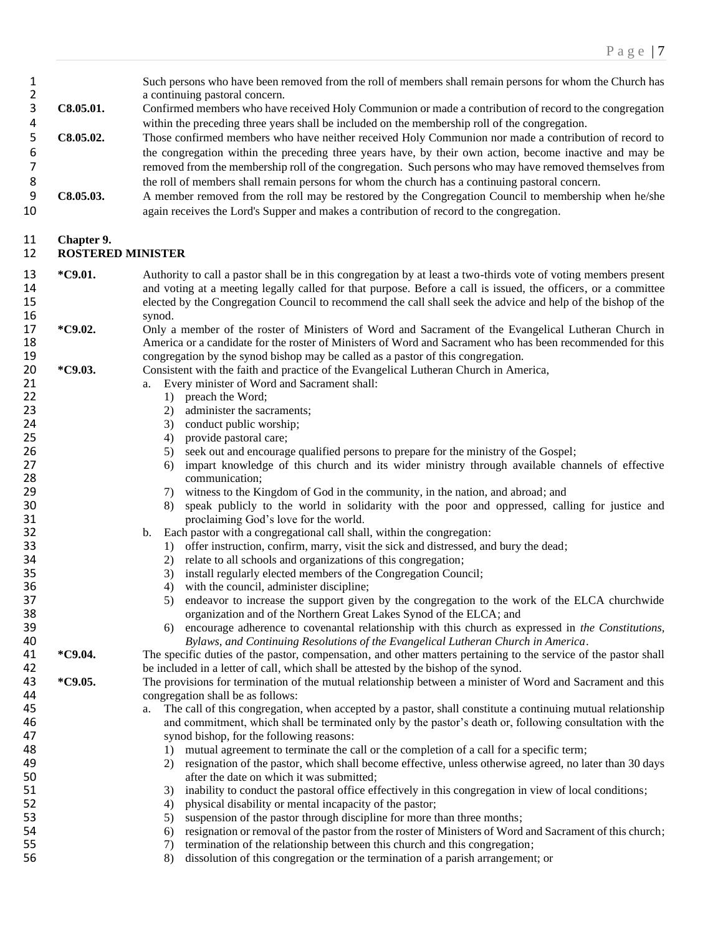| 1<br>$\overline{2}$<br>3<br>4<br>5<br>6<br>7<br>8<br>9<br>10                                                               | C8.05.01.<br>C8.05.02.<br>C8.05.03.    | Such persons who have been removed from the roll of members shall remain persons for whom the Church has<br>a continuing pastoral concern.<br>Confirmed members who have received Holy Communion or made a contribution of record to the congregation<br>within the preceding three years shall be included on the membership roll of the congregation.<br>Those confirmed members who have neither received Holy Communion nor made a contribution of record to<br>the congregation within the preceding three years have, by their own action, become inactive and may be<br>removed from the membership roll of the congregation. Such persons who may have removed themselves from<br>the roll of members shall remain persons for whom the church has a continuing pastoral concern.<br>A member removed from the roll may be restored by the Congregation Council to membership when he/she<br>again receives the Lord's Supper and makes a contribution of record to the congregation.                                                                                                                                                                                                                                                                                                                                                                                                                                                                                                           |
|----------------------------------------------------------------------------------------------------------------------------|----------------------------------------|---------------------------------------------------------------------------------------------------------------------------------------------------------------------------------------------------------------------------------------------------------------------------------------------------------------------------------------------------------------------------------------------------------------------------------------------------------------------------------------------------------------------------------------------------------------------------------------------------------------------------------------------------------------------------------------------------------------------------------------------------------------------------------------------------------------------------------------------------------------------------------------------------------------------------------------------------------------------------------------------------------------------------------------------------------------------------------------------------------------------------------------------------------------------------------------------------------------------------------------------------------------------------------------------------------------------------------------------------------------------------------------------------------------------------------------------------------------------------------------------------------|
| 11<br>12                                                                                                                   | Chapter 9.<br><b>ROSTERED MINISTER</b> |                                                                                                                                                                                                                                                                                                                                                                                                                                                                                                                                                                                                                                                                                                                                                                                                                                                                                                                                                                                                                                                                                                                                                                                                                                                                                                                                                                                                                                                                                                         |
| 13<br>14<br>15<br>16                                                                                                       | *C9.01.                                | Authority to call a pastor shall be in this congregation by at least a two-thirds vote of voting members present<br>and voting at a meeting legally called for that purpose. Before a call is issued, the officers, or a committee<br>elected by the Congregation Council to recommend the call shall seek the advice and help of the bishop of the<br>synod.                                                                                                                                                                                                                                                                                                                                                                                                                                                                                                                                                                                                                                                                                                                                                                                                                                                                                                                                                                                                                                                                                                                                           |
| 17<br>18<br>19                                                                                                             | *C9.02.                                | Only a member of the roster of Ministers of Word and Sacrament of the Evangelical Lutheran Church in<br>America or a candidate for the roster of Ministers of Word and Sacrament who has been recommended for this<br>congregation by the synod bishop may be called as a pastor of this congregation.                                                                                                                                                                                                                                                                                                                                                                                                                                                                                                                                                                                                                                                                                                                                                                                                                                                                                                                                                                                                                                                                                                                                                                                                  |
| 20<br>21<br>22<br>23<br>24<br>25<br>26<br>27<br>28<br>29<br>30<br>31<br>32<br>33<br>34<br>35<br>36<br>37<br>38<br>39<br>40 | *C9.03.                                | Consistent with the faith and practice of the Evangelical Lutheran Church in America,<br>Every minister of Word and Sacrament shall:<br>a.<br>preach the Word;<br>1)<br>administer the sacraments;<br>2)<br>conduct public worship;<br>3)<br>provide pastoral care;<br>4)<br>seek out and encourage qualified persons to prepare for the ministry of the Gospel;<br>5)<br>impart knowledge of this church and its wider ministry through available channels of effective<br>6)<br>communication;<br>witness to the Kingdom of God in the community, in the nation, and abroad; and<br>7)<br>speak publicly to the world in solidarity with the poor and oppressed, calling for justice and<br>8)<br>proclaiming God's love for the world.<br>Each pastor with a congregational call shall, within the congregation:<br>b.<br>offer instruction, confirm, marry, visit the sick and distressed, and bury the dead;<br>1)<br>relate to all schools and organizations of this congregation;<br>2)<br>install regularly elected members of the Congregation Council;<br>3)<br>with the council, administer discipline;<br>4)<br>endeavor to increase the support given by the congregation to the work of the ELCA churchwide<br>5)<br>organization and of the Northern Great Lakes Synod of the ELCA; and<br>encourage adherence to covenantal relationship with this church as expressed in the Constitutions,<br>6)<br>Bylaws, and Continuing Resolutions of the Evangelical Lutheran Church in America. |
| 41<br>42<br>43                                                                                                             | *C9.04.<br>*C9.05.                     | The specific duties of the pastor, compensation, and other matters pertaining to the service of the pastor shall<br>be included in a letter of call, which shall be attested by the bishop of the synod.<br>The provisions for termination of the mutual relationship between a minister of Word and Sacrament and this                                                                                                                                                                                                                                                                                                                                                                                                                                                                                                                                                                                                                                                                                                                                                                                                                                                                                                                                                                                                                                                                                                                                                                                 |
| 44<br>45<br>46<br>47<br>48<br>49<br>50<br>51<br>52<br>53<br>54<br>55<br>56                                                 |                                        | congregation shall be as follows:<br>The call of this congregation, when accepted by a pastor, shall constitute a continuing mutual relationship<br>and commitment, which shall be terminated only by the pastor's death or, following consultation with the<br>synod bishop, for the following reasons:<br>mutual agreement to terminate the call or the completion of a call for a specific term;<br>1)<br>resignation of the pastor, which shall become effective, unless otherwise agreed, no later than 30 days<br>2)<br>after the date on which it was submitted;<br>inability to conduct the pastoral office effectively in this congregation in view of local conditions;<br>3)<br>physical disability or mental incapacity of the pastor;<br>4)<br>suspension of the pastor through discipline for more than three months;<br>5)<br>resignation or removal of the pastor from the roster of Ministers of Word and Sacrament of this church;<br>6)<br>termination of the relationship between this church and this congregation;<br>7)<br>8)<br>dissolution of this congregation or the termination of a parish arrangement; or                                                                                                                                                                                                                                                                                                                                                                 |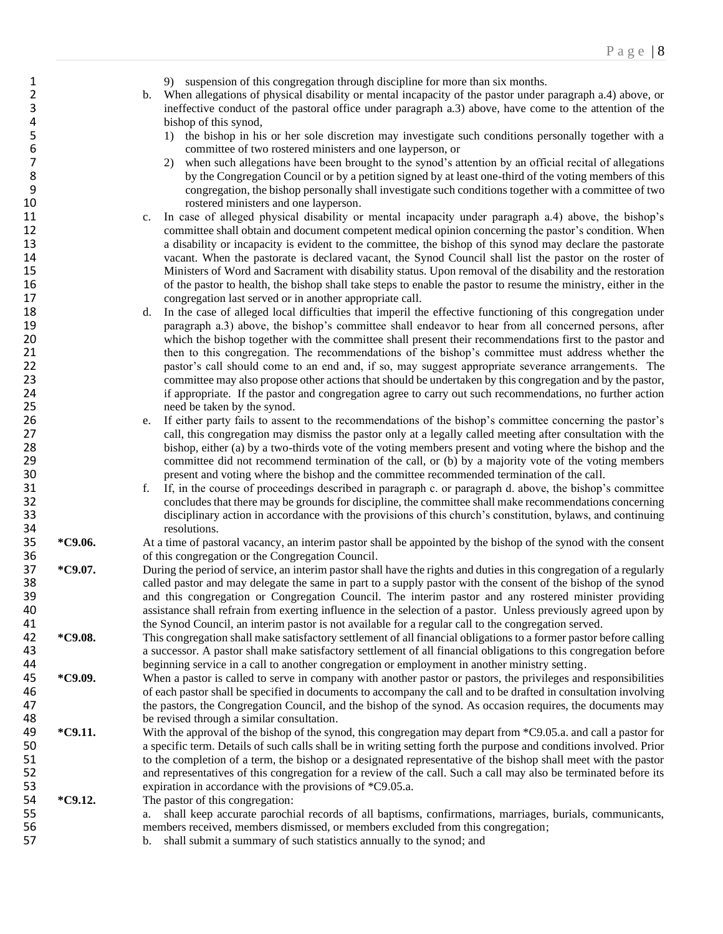- 1 9) suspension of this congregation through discipline for more than six months.<br>2 b. When allegations of physical disability or mental incapacity of the pastor under
- 2 b. When allegations of physical disability or mental incapacity of the pastor under paragraph a.4) above, or 3 ineffective conduct of the pastoral office under paragraph a.3) above, have come to the attention of the 4 bishop of this synod,<br>5 1) the bishop in his
- 5 1) the bishop in his or her sole discretion may investigate such conditions personally together with a committee of two rostered ministers and one layperson, or 6 committee of two rostered ministers and one layperson, or<br>
2) when such allegations have been brought to the synod's a
- 2) when such allegations have been brought to the synod's attention by an official recital of allegations by the Congregation Council or by a petition signed by at least one-third of the voting members of this 8 by the Congregation Council or by a petition signed by at least one-third of the voting members of this congregation, the bishop personally shall investigate such conditions together with a committee of two 9 congregation, the bishop personally shall investigate such conditions together with a committee of two rostered ministers and one layperson.
- 11 c. In case of alleged physical disability or mental incapacity under paragraph a.4) above, the bishop's 12 committee shall obtain and document competent medical opinion concerning the pastor's condition. When 13 a disability or incapacity is evident to the committee, the bishop of this synod may declare the pastorate 14 vacant. When the pastorate is declared vacant, the Synod Council shall list the pastor on the roster of<br>15 15 Ministers of Word and Sacrament with disability status. Upon removal of the disability and the restoration 15 Ministers of Word and Sacrament with disability status. Upon removal of the disability and the restoration of the pastor to health, the bishop shall take steps to enable the pastor to resume the ministry, either in the 17 congregation last served or in another appropriate call.<br>18 d. In the case of alleged local difficulties that imperil the
- 18 d. In the case of alleged local difficulties that imperil the effective functioning of this congregation under 19 paragraph a.3) above, the bishop's committee shall endeavor to hear from all concerned persons, after 20 which the bishop together with the committee shall present their recommendations first to the pastor and 21 then to this congregation. The recommendations of the bishop's committee must address whether the pastor's call should come to an end and, if so, may suggest appropriate severance arrangements. The pastor's call should come to an end and, if so, may suggest appropriate severance arrangements. The 23 committee may also propose other actions that should be undertaken by this congregation and by the pastor, 24 if appropriate. If the pastor and congregation agree to carry out such recommendations, no further action 25 need be taken by the synod.<br>26 e. If either party fails to assent
- 26 e. If either party fails to assent to the recommendations of the bishop's committee concerning the pastor's call, this congregation may dismiss the pastor only at a legally called meeting after consultation with the 27 call, this congregation may dismiss the pastor only at a legally called meeting after consultation with the<br>28 bishop, either (a) by a two-thirds vote of the voting members present and voting where the bishop and the 28 bishop, either (a) by a two-thirds vote of the voting members present and voting where the bishop and the committee did not recommend termination of the call. or (b) by a majority vote of the voting members 29 committee did not recommend termination of the call, or (b) by a majority vote of the voting members<br>30 seems and voting where the bishop and the committee recommended termination of the call. present and voting where the bishop and the committee recommended termination of the call.
- 31 f. If, in the course of proceedings described in paragraph c. or paragraph d. above, the bishop's committee 32 concludes that there may be grounds for discipline, the committee shall make recommendations concerning<br>33 disciplinary action in accordance with the provisions of this church's constitution, bylaws, and continuing disciplinary action in accordance with the provisions of this church's constitution, bylaws, and continuing

34 resolutions.<br>35 \*C9.06. At a time of past 35 **\*C9.06.** At a time of pastoral vacancy, an interim pastor shall be appointed by the bishop of the synod with the consent 36 of this congregation or the Congregation Council.

- **\*C9.07.** During the period of service, an interim pastor shall have the rights and duties in this congregation of a regularly called pastor and may delegate the same in part to a supply pastor with the consent of the bish 38 called pastor and may delegate the same in part to a supply pastor with the consent of the bishop of the synod<br>39 and this congregation or Congregation Council. The interim pastor and any rostered minister providing and this congregation or Congregation Council. The interim pastor and any rostered minister providing 40 assistance shall refrain from exerting influence in the selection of a pastor. Unless previously agreed upon by<br>41 the Synod Council, an interim pastor is not available for a regular call to the congregation served. 41 the Synod Council, an interim pastor is not available for a regular call to the congregation served.<br>42 \*C9.08. This congregation shall make satisfactory settlement of all financial obligations to a former pastor b
- 42 **\*C9.08.** This congregation shall make satisfactory settlement of all financial obligations to a former pastor before calling 43 a successor. A pastor shall make satisfactory settlement of all financial obligations to this congregation before<br>44 beginning service in a call to another congregation or employment in another ministry setting. beginning service in a call to another congregation or employment in another ministry setting.
- 45 **\*C9.09.** When a pastor is called to serve in company with another pastor or pastors, the privileges and responsibilities 46 of each pastor shall be specified in documents to accompany the call and to be drafted in consultation involving 47 the pastors, the Congregation Council, and the bishop of the synod. As occasion requires, the documents may<br>48 the revised through a similar consultation. 48 be revised through a similar consultation.<br>49  $\ast$ C9.11. With the approval of the bishop of the syn
- **49 \*C9.11.** With the approval of the bishop of the synod, this congregation may depart from \*C9.05.a. and call a pastor for a specific term. Details of such calls shall be in writing setting forth the purpose and condit 50 a specific term. Details of such calls shall be in writing setting forth the purpose and conditions involved. Prior 51 to the completion of a term, the bishop or a designated representative of the bishop shall meet with the pastor 52 and representatives of this congregation for a review of the call. Such a call may also be terminated before its 53 expiration in accordance with the provisions of \*C9.05.a.
- 54 **\*C9.12.** The pastor of this congregation: 55 a. shall keep accurate parochial records of all baptisms, confirmations, marriages, burials, communicants, 56 members received, members dismissed, or members excluded from this congregation;<br>57 b. shall submit a summary of such statistics annually to the synod: and
	- b. shall submit a summary of such statistics annually to the synod; and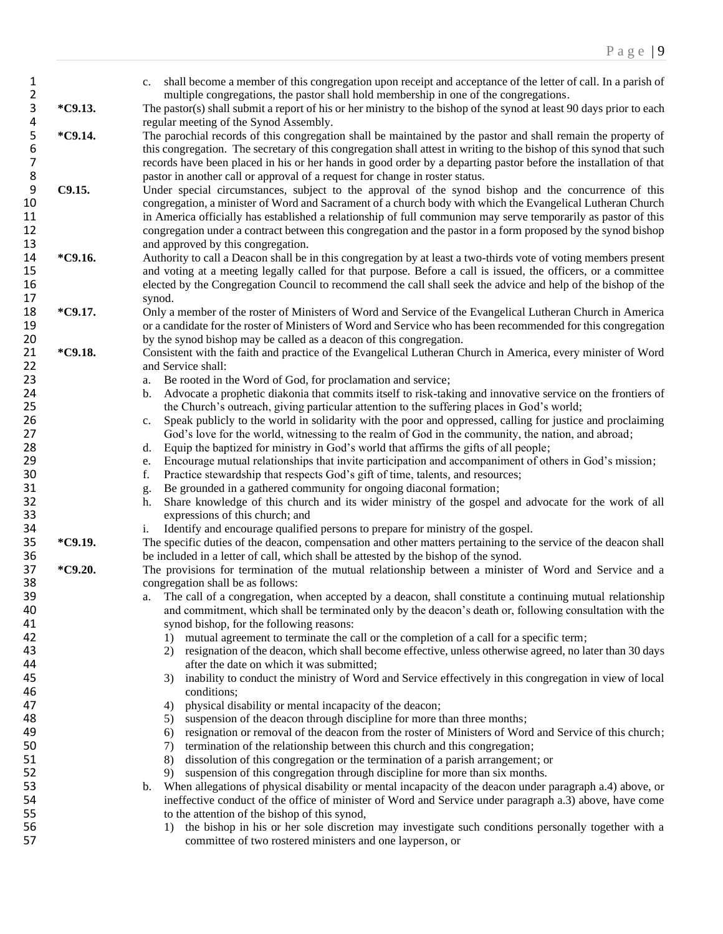| $\mathbf{1}$<br>$\overline{\mathbf{c}}$ |         | shall become a member of this congregation upon receipt and acceptance of the letter of call. In a parish of<br>c.<br>multiple congregations, the pastor shall hold membership in one of the congregations. |
|-----------------------------------------|---------|-------------------------------------------------------------------------------------------------------------------------------------------------------------------------------------------------------------|
| 3<br>4                                  | *C9.13. | The pastor(s) shall submit a report of his or her ministry to the bishop of the synod at least 90 days prior to each<br>regular meeting of the Synod Assembly.                                              |
|                                         | *C9.14. | The parochial records of this congregation shall be maintained by the pastor and shall remain the property of                                                                                               |
| $\begin{array}{c} 5 \\ 6 \end{array}$   |         |                                                                                                                                                                                                             |
|                                         |         | this congregation. The secretary of this congregation shall attest in writing to the bishop of this synod that such                                                                                         |
| 7                                       |         | records have been placed in his or her hands in good order by a departing pastor before the installation of that                                                                                            |
| 8                                       |         | pastor in another call or approval of a request for change in roster status.                                                                                                                                |
| 9                                       | C9.15.  | Under special circumstances, subject to the approval of the synod bishop and the concurrence of this                                                                                                        |
| 10                                      |         | congregation, a minister of Word and Sacrament of a church body with which the Evangelical Lutheran Church                                                                                                  |
| 11                                      |         | in America officially has established a relationship of full communion may serve temporarily as pastor of this                                                                                              |
| 12                                      |         | congregation under a contract between this congregation and the pastor in a form proposed by the synod bishop                                                                                               |
| 13                                      |         | and approved by this congregation.                                                                                                                                                                          |
| 14                                      | *C9.16. | Authority to call a Deacon shall be in this congregation by at least a two-thirds vote of voting members present                                                                                            |
| 15                                      |         | and voting at a meeting legally called for that purpose. Before a call is issued, the officers, or a committee                                                                                              |
| 16                                      |         | elected by the Congregation Council to recommend the call shall seek the advice and help of the bishop of the                                                                                               |
| 17                                      |         | synod.                                                                                                                                                                                                      |
| 18                                      | *C9.17. | Only a member of the roster of Ministers of Word and Service of the Evangelical Lutheran Church in America                                                                                                  |
| 19                                      |         | or a candidate for the roster of Ministers of Word and Service who has been recommended for this congregation                                                                                               |
|                                         |         |                                                                                                                                                                                                             |
| 20                                      |         | by the synod bishop may be called as a deacon of this congregation.                                                                                                                                         |
| 21                                      | *C9.18. | Consistent with the faith and practice of the Evangelical Lutheran Church in America, every minister of Word                                                                                                |
| 22                                      |         | and Service shall:                                                                                                                                                                                          |
| 23                                      |         | Be rooted in the Word of God, for proclamation and service;<br>a.                                                                                                                                           |
| 24                                      |         | Advocate a prophetic diakonia that commits itself to risk-taking and innovative service on the frontiers of<br>b.                                                                                           |
| 25                                      |         | the Church's outreach, giving particular attention to the suffering places in God's world;                                                                                                                  |
| 26                                      |         | Speak publicly to the world in solidarity with the poor and oppressed, calling for justice and proclaiming<br>c.                                                                                            |
| 27                                      |         | God's love for the world, witnessing to the realm of God in the community, the nation, and abroad;                                                                                                          |
| 28                                      |         | Equip the baptized for ministry in God's world that affirms the gifts of all people;<br>d.                                                                                                                  |
| 29                                      |         | Encourage mutual relationships that invite participation and accompaniment of others in God's mission;<br>e.                                                                                                |
| 30                                      |         | Practice stewardship that respects God's gift of time, talents, and resources;<br>f.                                                                                                                        |
| 31                                      |         | Be grounded in a gathered community for ongoing diaconal formation;<br>g.                                                                                                                                   |
| 32                                      |         | Share knowledge of this church and its wider ministry of the gospel and advocate for the work of all<br>h.                                                                                                  |
| 33                                      |         | expressions of this church; and                                                                                                                                                                             |
| 34                                      |         | Identify and encourage qualified persons to prepare for ministry of the gospel.<br>i.                                                                                                                       |
| 35                                      | *C9.19. | The specific duties of the deacon, compensation and other matters pertaining to the service of the deacon shall                                                                                             |
|                                         |         |                                                                                                                                                                                                             |
| 36                                      |         | be included in a letter of call, which shall be attested by the bishop of the synod.                                                                                                                        |
| 37                                      | *C9.20. | The provisions for termination of the mutual relationship between a minister of Word and Service and a                                                                                                      |
| 38                                      |         | congregation shall be as follows:                                                                                                                                                                           |
| 39                                      |         | a. The call of a congregation, when accepted by a deacon, shall constitute a continuing mutual relationship                                                                                                 |
| 40                                      |         | and commitment, which shall be terminated only by the deacon's death or, following consultation with the                                                                                                    |
| 41                                      |         | synod bishop, for the following reasons:                                                                                                                                                                    |
| 42                                      |         | mutual agreement to terminate the call or the completion of a call for a specific term;<br>1)                                                                                                               |
| 43                                      |         | 2) resignation of the deacon, which shall become effective, unless otherwise agreed, no later than 30 days                                                                                                  |
| 44                                      |         | after the date on which it was submitted;                                                                                                                                                                   |
| 45                                      |         | inability to conduct the ministry of Word and Service effectively in this congregation in view of local<br>3)                                                                                               |
| 46                                      |         | conditions;                                                                                                                                                                                                 |
| 47                                      |         | physical disability or mental incapacity of the deacon;<br>4)                                                                                                                                               |
| 48                                      |         | suspension of the deacon through discipline for more than three months;<br>5)                                                                                                                               |
| 49                                      |         | resignation or removal of the deacon from the roster of Ministers of Word and Service of this church;<br>6)                                                                                                 |
| 50                                      |         | termination of the relationship between this church and this congregation;<br>7)                                                                                                                            |
| 51                                      |         | dissolution of this congregation or the termination of a parish arrangement; or<br>8)                                                                                                                       |
| 52                                      |         |                                                                                                                                                                                                             |
|                                         |         | suspension of this congregation through discipline for more than six months.<br>9)                                                                                                                          |
| 53                                      |         | When allegations of physical disability or mental incapacity of the deacon under paragraph a.4) above, or<br>b.                                                                                             |
| 54                                      |         | ineffective conduct of the office of minister of Word and Service under paragraph a.3) above, have come                                                                                                     |
| 55                                      |         | to the attention of the bishop of this synod,                                                                                                                                                               |
| 56                                      |         | the bishop in his or her sole discretion may investigate such conditions personally together with a<br>1)                                                                                                   |
| 57                                      |         | committee of two rostered ministers and one layperson, or                                                                                                                                                   |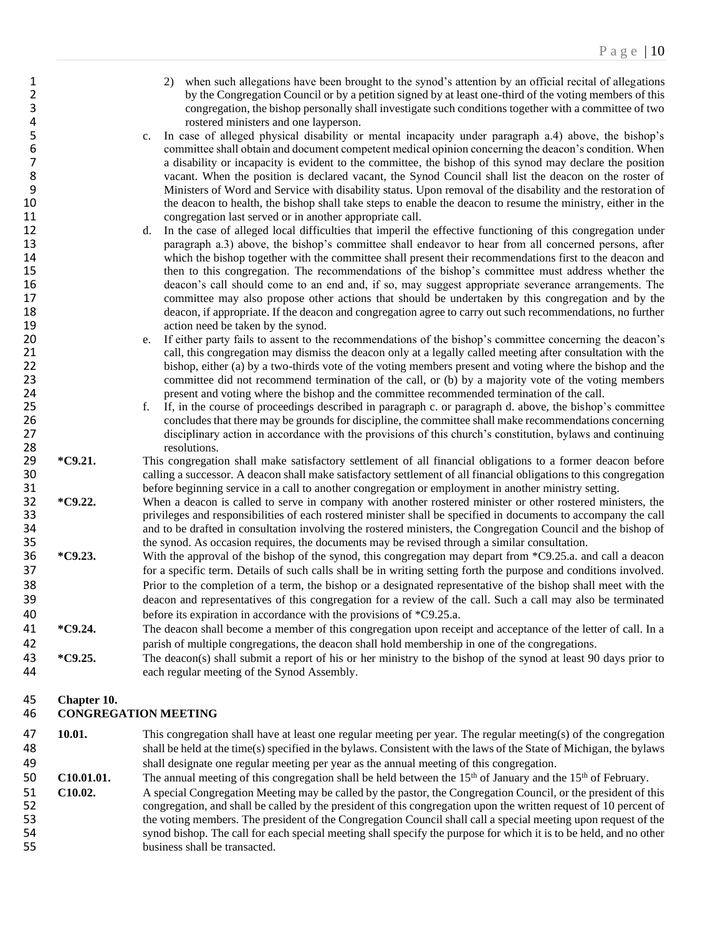- 2) when such allegations have been brought to the synod's attention by an official recital of allegations by the Congregation Council or by a petition signed by at least one-third of the voting members of this by the Congregation Council or by a petition signed by at least one-third of the voting members of this 3 congregation, the bishop personally shall investigate such conditions together with a committee of two
- 4 rostered ministers and one layperson.<br>5 c. In case of alleged physical disability or 5 c. In case of alleged physical disability or mental incapacity under paragraph a.4) above, the bishop's committee shall obtain and document competent medical opinion concerning the deacon's condition. When 6 committee shall obtain and document competent medical opinion concerning the deacon's condition. When<br>7 a disability or incapacity is evident to the committee, the bishop of this synod may declare the position 7 a disability or incapacity is evident to the committee, the bishop of this synod may declare the position vacant. When the position is declared vacant, the Synod Council shall list the deacon on the roster of 8 vacant. When the position is declared vacant, the Synod Council shall list the deacon on the roster of 9<br>9 Ministers of Word and Service with disability status. Upon removal of the disability and the restoration of 9 Ministers of Word and Service with disability status. Upon removal of the disability and the restoration of the deacon to health, the bishop shall take steps to enable the deacon to resume the ministry, either in the the deacon to health, the bishop shall take steps to enable the deacon to resume the ministry, either in the 11 congregation last served or in another appropriate call.
- 12 d. In the case of alleged local difficulties that imperil the effective functioning of this congregation under 13 paragraph a.3) above, the bishop's committee shall endeavor to hear from all concerned persons, after 14 which the bishop together with the committee shall present their recommendations first to the deacon and<br>15 then to this congregation. The recommendations of the bishop's committee must address whether the 15 then to this congregation. The recommendations of the bishop's committee must address whether the deacon's call should come to an end and, if so, may suggest appropriate severance arrangements. The deacon's call should come to an end and, if so, may suggest appropriate severance arrangements. The 17 committee may also propose other actions that should be undertaken by this congregation and by the deacon. if appropriate. If the deacon and congregation agree to carry out such recommendations, no further deacon, if appropriate. If the deacon and congregation agree to carry out such recommendations, no further 19 **action need be taken by the synod.**
- 20 e. If either party fails to assent to the recommendations of the bishop's committee concerning the deacon's 21 call, this congregation may dismiss the deacon only at a legally called meeting after consultation with the<br>22 bishop, either (a) by a two-thirds vote of the voting members present and voting where the bishop and the bishop, either (a) by a two-thirds vote of the voting members present and voting where the bishop and the 23 committee did not recommend termination of the call, or (b) by a majority vote of the voting members 24 present and voting where the bishop and the committee recommended termination of the call.
- 25 f. If, in the course of proceedings described in paragraph c. or paragraph d. above, the bishop's committee concludes that there may be grounds for discipline, the committee shall make recommendations concerning 26 26 concludes that there may be grounds for discipline, the committee shall make recommendations concerning<br>27 disciplinary action in accordance with the provisions of this church's constitution, bylaws and continuing 27 disciplinary action in accordance with the provisions of this church's constitution, bylaws and continuing resolutions.
- 28 resolutions.<br>29 \*C9.21. This congregation <sup>\*</sup>C9.21. This congregation shall make satisfactory settlement of all financial obligations to a former deacon before calling a successor. A deacon shall make satisfactory settlement of all financial obligations to this co calling a successor. A deacon shall make satisfactory settlement of all financial obligations to this congregation 31 before beginning service in a call to another congregation or employment in another ministry setting.
- **\*C9.22.** When a deacon is called to serve in company with another rostered minister or other rostered ministers, the privileges and responsibilities of each rostered minister shall be specified in documents to accompany t 33 privileges and responsibilities of each rostered minister shall be specified in documents to accompany the call 34 and to be drafted in consultation involving the rostered ministers, the Congregation Council and the bishop of the synod. As occasion requires, the documents may be revised through a similar consultation. the synod. As occasion requires, the documents may be revised through a similar consultation.
- 36 **\*C9.23.** With the approval of the bishop of the synod, this congregation may depart from \*C9.25.a. and call a deacon 37 for a specific term. Details of such calls shall be in writing setting forth the purpose and conditions involved. 38 Prior to the completion of a term, the bishop or a designated representative of the bishop shall meet with the 39 deacon and representatives of this congregation for a review of the call. Such a call may also be terminated 40 before its expiration in accordance with the provisions of \*C9.25.a.
- 41 **\*C9.24.** The deacon shall become a member of this congregation upon receipt and acceptance of the letter of call. In a 42 parish of multiple congregations, the deacon shall hold membership in one of the congregations.
- 43 **\*C9.25.** The deacon(s) shall submit a report of his or her ministry to the bishop of the synod at least 90 days prior to 44 each regular meeting of the Synod Assembly.

#### 45 **Chapter 10.**

#### 46 **CONGREGATION MEETING**

- 47 **10.01.** This congregation shall have at least one regular meeting per year. The regular meeting(s) of the congregation 48 shall be held at the time(s) specified in the bylaws. Consistent with the laws of the State of Michigan, the bylaws 49 shall designate one regular meeting per year as the annual meeting of this congregation.
- **C10.01.01.** The annual meeting of this congregation shall be held between the 15<sup>th</sup> of January and the 15<sup>th</sup> of February.
- 51 **C10.02.** A special Congregation Meeting may be called by the pastor, the Congregation Council, or the president of this 52 congregation, and shall be called by the president of this congregation upon the written request of 10 percent of 53 the voting members. The president of the Congregation Council shall call a special meeting upon request of the 54 synod bishop. The call for each special meeting shall specify the purpose for which it is to be held, and no other 55 business shall be transacted.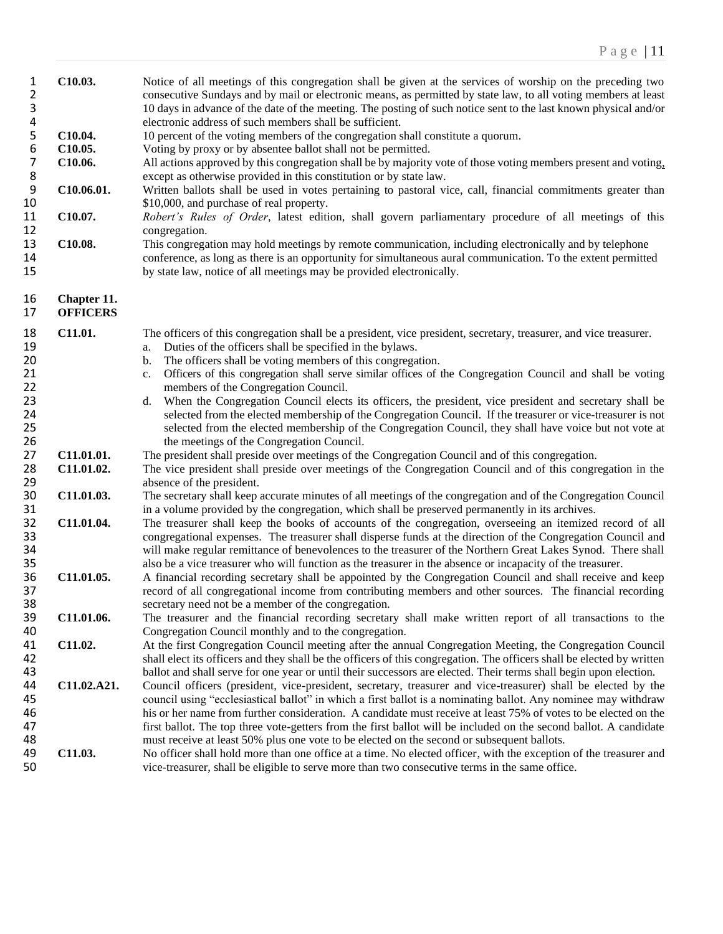| 1<br>2<br>3<br>$\overline{\mathbf{4}}$ | C10.03.         | Notice of all meetings of this congregation shall be given at the services of worship on the preceding two<br>consecutive Sundays and by mail or electronic means, as permitted by state law, to all voting members at least<br>10 days in advance of the date of the meeting. The posting of such notice sent to the last known physical and/or<br>electronic address of such members shall be sufficient. |
|----------------------------------------|-----------------|-------------------------------------------------------------------------------------------------------------------------------------------------------------------------------------------------------------------------------------------------------------------------------------------------------------------------------------------------------------------------------------------------------------|
| $\mathsf S$                            | C10.04.         | 10 percent of the voting members of the congregation shall constitute a quorum.                                                                                                                                                                                                                                                                                                                             |
| 6                                      | C10.05.         | Voting by proxy or by absentee ballot shall not be permitted.                                                                                                                                                                                                                                                                                                                                               |
| $\overline{7}$                         | C10.06.         | All actions approved by this congregation shall be by majority vote of those voting members present and voting,                                                                                                                                                                                                                                                                                             |
| 8                                      |                 | except as otherwise provided in this constitution or by state law.                                                                                                                                                                                                                                                                                                                                          |
| $\boldsymbol{9}$                       | C10.06.01.      | Written ballots shall be used in votes pertaining to pastoral vice, call, financial commitments greater than                                                                                                                                                                                                                                                                                                |
| 10                                     |                 | \$10,000, and purchase of real property.                                                                                                                                                                                                                                                                                                                                                                    |
| 11                                     | C10.07.         | Robert's Rules of Order, latest edition, shall govern parliamentary procedure of all meetings of this                                                                                                                                                                                                                                                                                                       |
| 12                                     |                 | congregation.                                                                                                                                                                                                                                                                                                                                                                                               |
| 13                                     | C10.08.         | This congregation may hold meetings by remote communication, including electronically and by telephone                                                                                                                                                                                                                                                                                                      |
| 14                                     |                 | conference, as long as there is an opportunity for simultaneous aural communication. To the extent permitted                                                                                                                                                                                                                                                                                                |
| 15                                     |                 |                                                                                                                                                                                                                                                                                                                                                                                                             |
|                                        |                 | by state law, notice of all meetings may be provided electronically.                                                                                                                                                                                                                                                                                                                                        |
| 16                                     | Chapter 11.     |                                                                                                                                                                                                                                                                                                                                                                                                             |
| 17                                     | <b>OFFICERS</b> |                                                                                                                                                                                                                                                                                                                                                                                                             |
|                                        |                 |                                                                                                                                                                                                                                                                                                                                                                                                             |
| 18                                     | C11.01.         | The officers of this congregation shall be a president, vice president, secretary, treasurer, and vice treasurer.                                                                                                                                                                                                                                                                                           |
| 19                                     |                 | Duties of the officers shall be specified in the bylaws.<br>a.                                                                                                                                                                                                                                                                                                                                              |
| 20                                     |                 | The officers shall be voting members of this congregation.<br>$\mathbf{b}$ .                                                                                                                                                                                                                                                                                                                                |
| 21                                     |                 | Officers of this congregation shall serve similar offices of the Congregation Council and shall be voting<br>c.                                                                                                                                                                                                                                                                                             |
| 22                                     |                 | members of the Congregation Council.                                                                                                                                                                                                                                                                                                                                                                        |
| 23                                     |                 | When the Congregation Council elects its officers, the president, vice president and secretary shall be<br>d.                                                                                                                                                                                                                                                                                               |
| 24                                     |                 | selected from the elected membership of the Congregation Council. If the treasurer or vice-treasurer is not                                                                                                                                                                                                                                                                                                 |
| 25                                     |                 | selected from the elected membership of the Congregation Council, they shall have voice but not vote at                                                                                                                                                                                                                                                                                                     |
| 26                                     |                 | the meetings of the Congregation Council.                                                                                                                                                                                                                                                                                                                                                                   |
| 27                                     | C11.01.01.      | The president shall preside over meetings of the Congregation Council and of this congregation.                                                                                                                                                                                                                                                                                                             |
| 28                                     | C11.01.02.      | The vice president shall preside over meetings of the Congregation Council and of this congregation in the                                                                                                                                                                                                                                                                                                  |
| 29                                     |                 | absence of the president.                                                                                                                                                                                                                                                                                                                                                                                   |
| 30                                     | C11.01.03.      | The secretary shall keep accurate minutes of all meetings of the congregation and of the Congregation Council                                                                                                                                                                                                                                                                                               |
| 31                                     |                 | in a volume provided by the congregation, which shall be preserved permanently in its archives.                                                                                                                                                                                                                                                                                                             |
| 32                                     | C11.01.04.      | The treasurer shall keep the books of accounts of the congregation, overseeing an itemized record of all                                                                                                                                                                                                                                                                                                    |
| 33                                     |                 | congregational expenses. The treasurer shall disperse funds at the direction of the Congregation Council and                                                                                                                                                                                                                                                                                                |
| 34                                     |                 | will make regular remittance of benevolences to the treasurer of the Northern Great Lakes Synod. There shall                                                                                                                                                                                                                                                                                                |
| 35                                     |                 | also be a vice treasurer who will function as the treasurer in the absence or incapacity of the treasurer.                                                                                                                                                                                                                                                                                                  |
| 36                                     | C11.01.05.      | A financial recording secretary shall be appointed by the Congregation Council and shall receive and keep                                                                                                                                                                                                                                                                                                   |
| 37                                     |                 | record of all congregational income from contributing members and other sources. The financial recording                                                                                                                                                                                                                                                                                                    |
| 38                                     |                 | secretary need not be a member of the congregation.                                                                                                                                                                                                                                                                                                                                                         |
| 39                                     | C11.01.06.      | The treasurer and the financial recording secretary shall make written report of all transactions to the                                                                                                                                                                                                                                                                                                    |
|                                        |                 |                                                                                                                                                                                                                                                                                                                                                                                                             |
| 40                                     |                 | Congregation Council monthly and to the congregation.                                                                                                                                                                                                                                                                                                                                                       |
| 41                                     | C11.02.         | At the first Congregation Council meeting after the annual Congregation Meeting, the Congregation Council                                                                                                                                                                                                                                                                                                   |
| 42                                     |                 | shall elect its officers and they shall be the officers of this congregation. The officers shall be elected by written                                                                                                                                                                                                                                                                                      |
| 43                                     |                 | ballot and shall serve for one year or until their successors are elected. Their terms shall begin upon election.                                                                                                                                                                                                                                                                                           |
| 44                                     | C11.02.A21.     | Council officers (president, vice-president, secretary, treasurer and vice-treasurer) shall be elected by the                                                                                                                                                                                                                                                                                               |
| 45                                     |                 | council using "ecclesiastical ballot" in which a first ballot is a nominating ballot. Any nominee may withdraw                                                                                                                                                                                                                                                                                              |
| 46                                     |                 | his or her name from further consideration. A candidate must receive at least 75% of votes to be elected on the                                                                                                                                                                                                                                                                                             |
| 47                                     |                 | first ballot. The top three vote-getters from the first ballot will be included on the second ballot. A candidate                                                                                                                                                                                                                                                                                           |
| 48                                     |                 | must receive at least 50% plus one vote to be elected on the second or subsequent ballots.                                                                                                                                                                                                                                                                                                                  |
| 49                                     | C11.03.         | No officer shall hold more than one office at a time. No elected officer, with the exception of the treasurer and                                                                                                                                                                                                                                                                                           |
| 50                                     |                 | vice-treasurer, shall be eligible to serve more than two consecutive terms in the same office.                                                                                                                                                                                                                                                                                                              |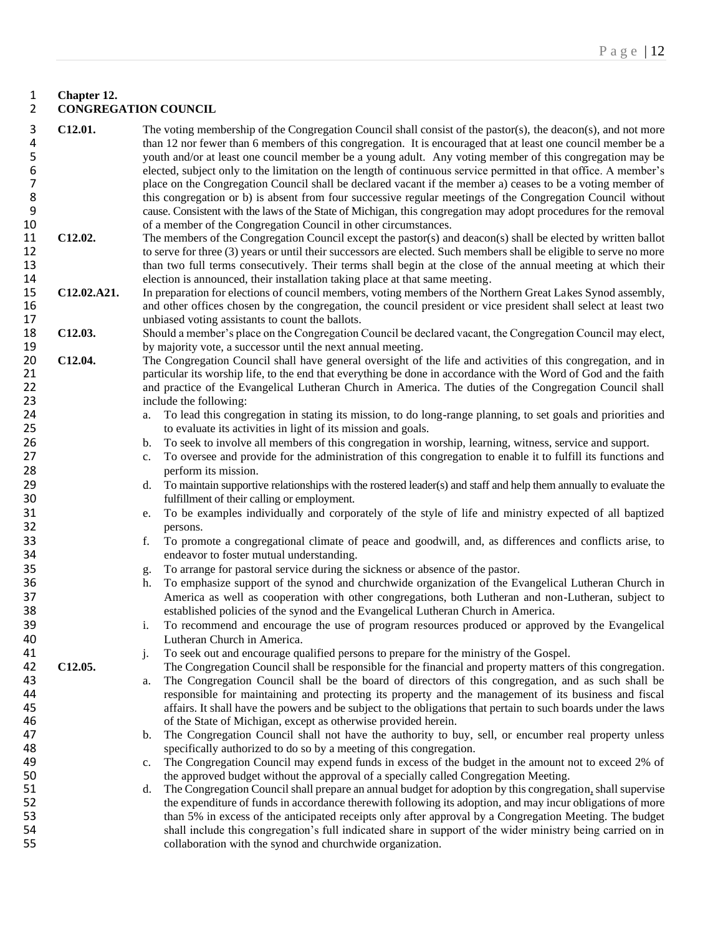#### 1 **Chapter 12.** 2 **CONGREGATION COUNCIL**

- 3 **C12.01.** The voting membership of the Congregation Council shall consist of the pastor(s), the deacon(s), and not more than 12 nor fewer than 6 members of this congregation. It is encouraged that at least one council member be a<br>5 youth and/or at least one council member be a young adult. Any voting member of this congregation may be 5 youth and/or at least one council member be a young adult. Any voting member of this congregation may be elected, subject only to the limitation on the length of continuous service permitted in that office. A member's 6 elected, subject only to the limitation on the length of continuous service permitted in that office. A member's 7 place on the Congregation Council shall be declared vacant if the member a) ceases to be a voting member of this congregation or b) is absent from four successive regular meetings of the Congregation Council without 8 this congregation or b) is absent from four successive regular meetings of the Congregation Council without cause. Consistent with the laws of the State of Michigan, this congregation may adopt procedures for the removal 9 cause. Consistent with the laws of the State of Michigan, this congregation may adopt procedures for the removal 10 of a member of the Congregation Council in other circumstances.
- 11 **C12.02.** The members of the Congregation Council except the pastor(s) and deacon(s) shall be elected by written ballot 12 to serve for three (3) years or until their successors are elected. Such members shall be eligible to serve no more 13 than two full terms consecutively. Their terms shall begin at the close of the annual meeting at which their<br>14 election is announced, their installation taking place at that same meeting. 14 election is announced, their installation taking place at that same meeting.<br>15 **C12.02.A21.** In preparation for elections of council members, voting members of the No
- 15 **C12.02.A21.** In preparation for elections of council members, voting members of the Northern Great Lakes Synod assembly, and other offices chosen by the congregation, the council president or vice president shall selec 16 and other offices chosen by the congregation, the council president or vice president shall select at least two unbiased voting assistants to count the ballots. unbiased voting assistants to count the ballots.
- 18 **C12.03.** Should a member's place on the Congregation Council be declared vacant, the Congregation Council may elect, 19 by majority vote, a successor until the next annual meeting.<br>20 **C12.04.** The Congregation Council shall have general oversight of
- 20 **C12.04.** The Congregation Council shall have general oversight of the life and activities of this congregation, and in 21 particular its worship life, to the end that everything be done in accordance with the Word of God and the faith 22 and practice of the Evangelical Lutheran Church in America. The duties of the Congregation Council shall<br>23 include the following: 23 include the following:<br>24 a. To lead this congress
- 24 a. To lead this congregation in stating its mission, to do long-range planning, to set goals and priorities and to evaluate its activities in light of its mission and goals. to evaluate its activities in light of its mission and goals.
- 26 b. To seek to involve all members of this congregation in worship, learning, witness, service and support.
- 27 c. To oversee and provide for the administration of this congregation to enable it to fulfill its functions and 28 perform its mission.
- 29 d. To maintain supportive relationships with the rostered leader(s) and staff and help them annually to evaluate the 30 fulfillment of their calling or employment.
- 31 e. To be examples individually and corporately of the style of life and ministry expected of all baptized 32 persons.
- 33 f. To promote a congregational climate of peace and goodwill, and, as differences and conflicts arise, to 34 endeavor to foster mutual understanding.
- 35 g. To arrange for pastoral service during the sickness or absence of the pastor.
- 36 h. To emphasize support of the synod and churchwide organization of the Evangelical Lutheran Church in 37 America as well as cooperation with other congregations, both Lutheran and non-Lutheran, subject to<br>38 established policies of the synod and the Evangelical Lutheran Church in America. 38 established policies of the synod and the Evangelical Lutheran Church in America.<br>39 i. To recommend and encourage the use of program resources produced or approv
- 39 i. To recommend and encourage the use of program resources produced or approved by the Evangelical 40 Lutheran Church in America.
- 41 j. To seek out and encourage qualified persons to prepare for the ministry of the Gospel.
- **C12.05.** The Congregation Council shall be responsible for the financial and property matters of this congregation.<br> **43** a. The Congregation Council shall be the board of directors of this congregation, and as such shall 43 a. The Congregation Council shall be the board of directors of this congregation, and as such shall be 44 responsible for maintaining and protecting its property and the management of its business and fiscal<br>45 affairs. It shall have the powers and be subject to the obligations that pertain to such boards under the laws 45 affairs. It shall have the powers and be subject to the obligations that pertain to such boards under the laws 46 of the State of Michigan, except as otherwise provided herein.
- 47 b. The Congregation Council shall not have the authority to buy, sell, or encumber real property unless specifically authorized to do so by a meeting of this congregation. specifically authorized to do so by a meeting of this congregation.

49 c. The Congregation Council may expend funds in excess of the budget in the amount not to exceed 2% of 50 the approved budget without the approval of a specially called Congregation Meeting.<br>51 the Congregation Council shall prepare an annual budget for adoption by this congrega

51 d. The Congregation Council shall prepare an annual budget for adoption by this congregation*,* shall supervise 52 the expenditure of funds in accordance therewith following its adoption, and may incur obligations of more<br>53 than 5% in excess of the anticipated receipts only after approval by a Congregation Meeting. The budget 53 than 5% in excess of the anticipated receipts only after approval by a Congregation Meeting. The budget shall include this congregation's full indicated share in support of the wider ministry being carried on in shall include this congregation's full indicated share in support of the wider ministry being carried on in 55 collaboration with the synod and churchwide organization.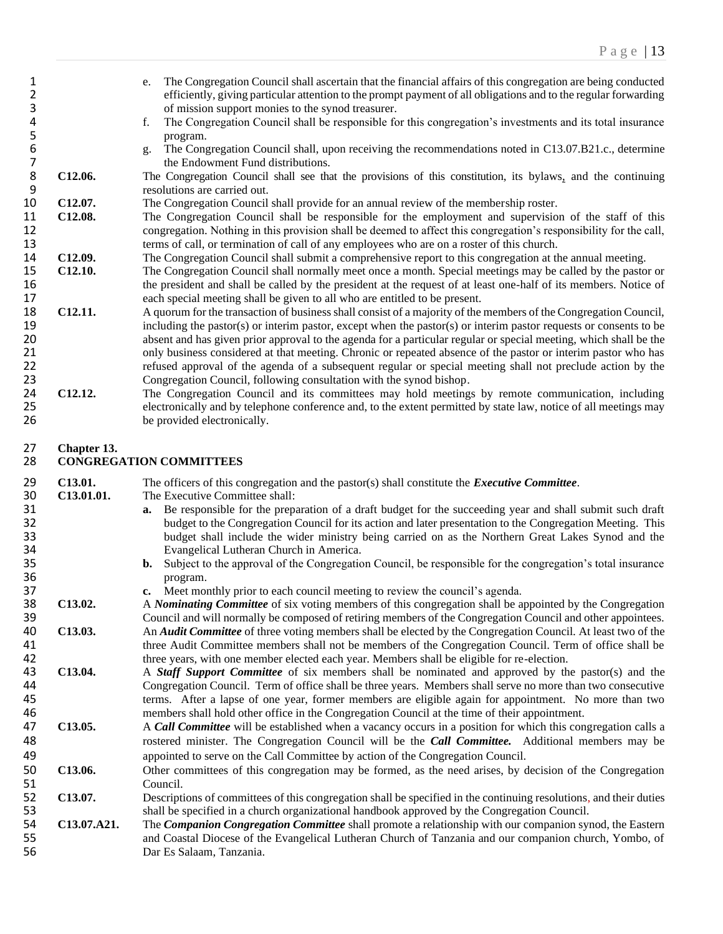1 e. The Congregation Council shall ascertain that the financial affairs of this congregation are being conducted<br>2 efficiently, giving particular attention to the prompt payment of all obligations and to the regular forwa efficiently, giving particular attention to the prompt payment of all obligations and to the regular forwarding of mission support monies to the synod treasurer. f. The Congregation Council shall be responsible for this congregation's investments and its total insurance 5 program.<br>6 g. The Cong g. The Congregation Council shall, upon receiving the recommendations noted in C13.07.B21.c., determine 7 the Endowment Fund distributions.<br>8 **C12.06.** The Congregation Council shall see that **C12.06.** The Congregation Council shall see that the provisions of this constitution, its bylaws, and the continuing resolutions are carried out. 9 resolutions are carried out.<br>10 C12.07. The Congregation Council **C12.07.** The Congregation Council shall provide for an annual review of the membership roster. **C12.08.** The Congregation Council shall be responsible for the employment and supervision of the staff of this congregation. Nothing in this provision shall be deemed to affect this congregation's responsibility for the call, terms of call, or termination of call of any employees who are on a roster of this church. **C12.09.** The Congregation Council shall submit a comprehensive report to this congregation at the annual meeting.<br>15 **C12.10.** The Congregation Council shall normally meet once a month. Special meetings may be called b **C12.10.** The Congregation Council shall normally meet once a month. Special meetings may be called by the pastor or the president and shall be called by the president at the request of at least one-half of its members. the president and shall be called by the president at the request of at least one-half of its members. Notice of 17 each special meeting shall be given to all who are entitled to be present.<br>18 **C12.11.** A quorum for the transaction of business shall consist of a majority of the **C12.11.** A quorum for the transaction of business shall consist of a majority of the members of the Congregation Council, including the pastor(s) or interim pastor, except when the pastor(s) or interim pastor requests or consents to be absent and has given prior approval to the agenda for a particular regular or special meeting, which shall be the 21 only business considered at that meeting. Chronic or repeated absence of the pastor or interim pastor who has<br>22 refused approval of the agenda of a subsequent regular or special meeting shall not preclude action by the refused approval of the agenda of a subsequent regular or special meeting shall not preclude action by the Congregation Council, following consultation with the synod bishop. **C12.12.** The Congregation Council and its committees may hold meetings by remote communication, including electronically and by telephone conference and, to the extent permitted by state law, notice of all meetings may be provided electronically. **Chapter 13. CONGREGATION COMMITTEES C13.01.** The officers of this congregation and the pastor(s) shall constitute the *Executive Committee*. **C13.01.01.** The Executive Committee shall: **a.** Be responsible for the preparation of a draft budget for the succeeding year and shall submit such draft budget to the Congregation Council for its action and later presentation to the Congregation Meeting. This budget shall include the wider ministry being carried on as the Northern Great Lakes Synod and the 34 Evangelical Lutheran Church in America.<br>35 **b.** Subject to the approval of the Congregatio **b.** Subject to the approval of the Congregation Council, be responsible for the congregation's total insurance program. program. **c.** Meet monthly prior to each council meeting to review the council's agenda.<br>38 **C13.02.** A *Nominating Committee* of six voting members of this congregation shall be a **C13.02.** A *Nominating Committee* of six voting members of this congregation shall be appointed by the Congregation<br>39 Council and will normally be composed of retiring members of the Congregation Council and other appoin 39 Council and will normally be composed of retiring members of the Congregation Council and other appointees.<br>40 C13.03. An *Audit Committee* of three voting members shall be elected by the Congregation Council. At least **C13.03.** An *Audit Committee* of three voting members shall be elected by the Congregation Council. At least two of the 41 three Audit Committee members shall not be members of the Congregation Council. Term of office shall be three vears, with one member elected each vear. Members shall be eligible for re-election. three years, with one member elected each year. Members shall be eligible for re-election. **C13.04.** A *Staff Support Committee* of six members shall be nominated and approved by the pastor(s) and the 44 Congregation Council. Term of office shall be three years. Members shall serve no more than two consecutive<br>45 45 Elements. After a lapse of one year, former members are eligible again for appointment. No more than two terms. After a lapse of one year, former members are eligible again for appointment. No more than two 46 members shall hold other office in the Congregation Council at the time of their appointment.<br>47 C13.05. A Call Committee will be established when a vacancy occurs in a position for which this con A **Call Committee** will be established when a vacancy occurs in a position for which this congregation calls a rostered minister. The Congregation Council will be the *Call Committee.* Additional members may be appointed to serve on the Call Committee by action of the Congregation Council. **C13.06.** Other committees of this congregation may be formed, as the need arises, by decision of the Congregation 51 Council.<br>52 C13.07. Descript **C13.07.** Descriptions of committees of this congregation shall be specified in the continuing resolutions, and their duties shall be specified in a church organizational handbook approved by the Congregation Council. 53 shall be specified in a church organizational handbook approved by the Congregation Council.<br>54 **C13.07.A21.** The *Companion Congregation Committee* shall promote a relationship with our companion syn **C13.07.A21.** The *Companion Congregation Committee* shall promote a relationship with our companion synod, the Eastern 55 and Coastal Diocese of the Evangelical Lutheran Church of Tanzania and our companion church, Yombo, of Dar Es Salaam, Tanzania. Dar Es Salaam, Tanzania.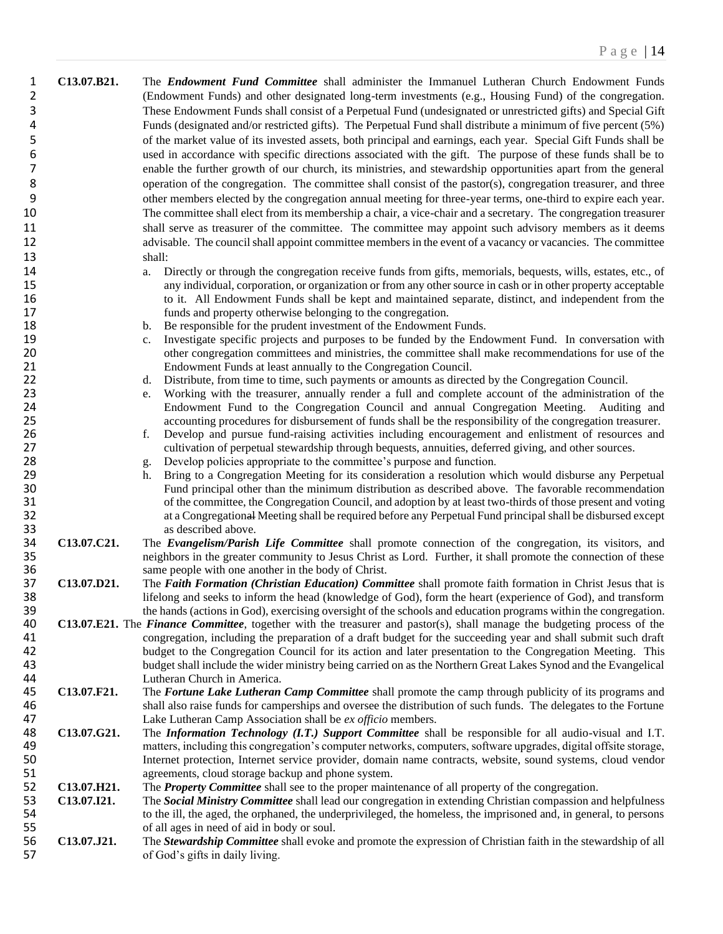| $\mathbf{1}$   | C13.07.B21. | The <b>Endowment Fund Committee</b> shall administer the Immanuel Lutheran Church Endowment Funds                                      |
|----------------|-------------|----------------------------------------------------------------------------------------------------------------------------------------|
| $\overline{2}$ |             | (Endowment Funds) and other designated long-term investments (e.g., Housing Fund) of the congregation.                                 |
| 3              |             | These Endowment Funds shall consist of a Perpetual Fund (undesignated or unrestricted gifts) and Special Gift                          |
| $\overline{a}$ |             | Funds (designated and/or restricted gifts). The Perpetual Fund shall distribute a minimum of five percent (5%)                         |
| 5              |             | of the market value of its invested assets, both principal and earnings, each year. Special Gift Funds shall be                        |
| 6              |             | used in accordance with specific directions associated with the gift. The purpose of these funds shall be to                           |
| $\overline{7}$ |             | enable the further growth of our church, its ministries, and stewardship opportunities apart from the general                          |
|                |             |                                                                                                                                        |
| 8              |             | operation of the congregation. The committee shall consist of the pastor(s), congregation treasurer, and three                         |
| 9              |             | other members elected by the congregation annual meeting for three-year terms, one-third to expire each year.                          |
| 10             |             | The committee shall elect from its membership a chair, a vice-chair and a secretary. The congregation treasurer                        |
| 11             |             | shall serve as treasurer of the committee. The committee may appoint such advisory members as it deems                                 |
| 12             |             | advisable. The council shall appoint committee members in the event of a vacancy or vacancies. The committee                           |
| 13             |             | shall:                                                                                                                                 |
| 14             |             | Directly or through the congregation receive funds from gifts, memorials, bequests, wills, estates, etc., of<br>a.                     |
| 15             |             | any individual, corporation, or organization or from any other source in cash or in other property acceptable                          |
| 16             |             | to it. All Endowment Funds shall be kept and maintained separate, distinct, and independent from the                                   |
| 17             |             | funds and property otherwise belonging to the congregation.                                                                            |
| 18             |             | Be responsible for the prudent investment of the Endowment Funds.<br>b.                                                                |
| 19             |             | Investigate specific projects and purposes to be funded by the Endowment Fund. In conversation with<br>c.                              |
| 20             |             | other congregation committees and ministries, the committee shall make recommendations for use of the                                  |
| 21             |             | Endowment Funds at least annually to the Congregation Council.                                                                         |
| 22             |             | Distribute, from time to time, such payments or amounts as directed by the Congregation Council.<br>d.                                 |
| 23             |             | Working with the treasurer, annually render a full and complete account of the administration of the<br>e.                             |
| 24             |             | Endowment Fund to the Congregation Council and annual Congregation Meeting. Auditing and                                               |
| 25             |             | accounting procedures for disbursement of funds shall be the responsibility of the congregation treasurer.                             |
| 26             |             | Develop and pursue fund-raising activities including encouragement and enlistment of resources and<br>f.                               |
| 27             |             | cultivation of perpetual stewardship through bequests, annuities, deferred giving, and other sources.                                  |
| 28             |             | Develop policies appropriate to the committee's purpose and function.<br>g.                                                            |
| 29             |             | Bring to a Congregation Meeting for its consideration a resolution which would disburse any Perpetual<br>h.                            |
| 30             |             | Fund principal other than the minimum distribution as described above. The favorable recommendation                                    |
| 31             |             | of the committee, the Congregation Council, and adoption by at least two-thirds of those present and voting                            |
| 32             |             | at a Congregational Meeting shall be required before any Perpetual Fund principal shall be disbursed except                            |
| 33             |             | as described above.                                                                                                                    |
| 34             | C13.07.C21. | The Evangelism/Parish Life Committee shall promote connection of the congregation, its visitors, and                                   |
| 35             |             | neighbors in the greater community to Jesus Christ as Lord. Further, it shall promote the connection of these                          |
| 36             |             | same people with one another in the body of Christ.                                                                                    |
| 37             | C13.07.D21. | The Faith Formation (Christian Education) Committee shall promote faith formation in Christ Jesus that is                              |
| 38             |             | lifelong and seeks to inform the head (knowledge of God), form the heart (experience of God), and transform                            |
| 39             |             | the hands (actions in God), exercising oversight of the schools and education programs within the congregation.                        |
| 40             |             | <b>C13.07.E21.</b> The <i>Finance Committee</i> , together with the treasurer and pastor(s), shall manage the budgeting process of the |
| 41             |             | congregation, including the preparation of a draft budget for the succeeding year and shall submit such draft                          |
| 42             |             | budget to the Congregation Council for its action and later presentation to the Congregation Meeting. This                             |
| 43             |             | budget shall include the wider ministry being carried on as the Northern Great Lakes Synod and the Evangelical                         |
| 44             |             | Lutheran Church in America.                                                                                                            |
| 45             | C13.07.F21. | The Fortune Lake Lutheran Camp Committee shall promote the camp through publicity of its programs and                                  |
| 46             |             | shall also raise funds for camperships and oversee the distribution of such funds. The delegates to the Fortune                        |
| 47             |             | Lake Lutheran Camp Association shall be ex officio members.                                                                            |
| 48             | C13.07.G21. | The Information Technology (I.T.) Support Committee shall be responsible for all audio-visual and I.T.                                 |
| 49             |             | matters, including this congregation's computer networks, computers, software upgrades, digital offsite storage,                       |
| 50             |             | Internet protection, Internet service provider, domain name contracts, website, sound systems, cloud vendor                            |
| 51             |             | agreements, cloud storage backup and phone system.                                                                                     |
| 52             | C13.07.H21. | The <b>Property Committee</b> shall see to the proper maintenance of all property of the congregation.                                 |
| 53             | C13.07.I21. | The Social Ministry Committee shall lead our congregation in extending Christian compassion and helpfulness                            |
| 54             |             | to the ill, the aged, the orphaned, the underprivileged, the homeless, the imprisoned and, in general, to persons                      |
| 55             |             | of all ages in need of aid in body or soul.                                                                                            |
| 56             | C13.07.J21. | The <b>Stewardship Committee</b> shall evoke and promote the expression of Christian faith in the stewardship of all                   |
| 57             |             | of God's gifts in daily living.                                                                                                        |
|                |             |                                                                                                                                        |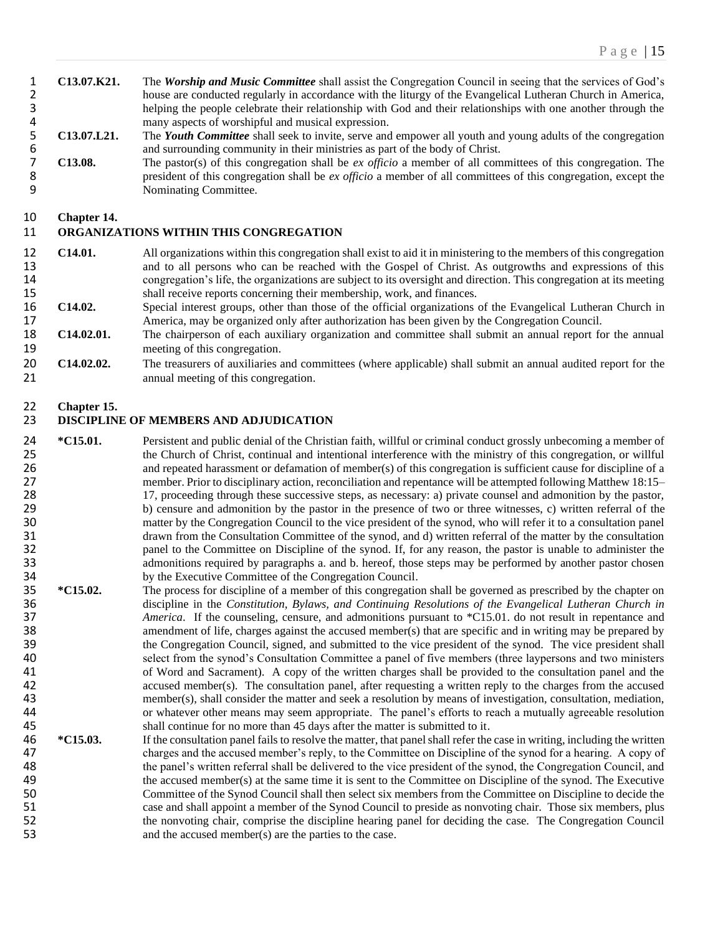1 **C13.07.K21.** The *Worship and Music Committee* shall assist the Congregation Council in seeing that the services of God's 2 house are conducted regularly in accordance with the liturgy of the Evangelical Lutheran Church in America, 3 helping the people celebrate their relationship with God and their relationships with one another through the

4 many aspects of worshipful and musical expression.<br>5 **C13.07.L21.** The *Youth Committee* shall seek to invite, serve and 5 **C13.07.L21.** The *Youth Committee* shall seek to invite, serve and empower all youth and young adults of the congregation and surrounding community in their ministries as part of the body of Christ.

7 **C13.08.** The pastor(s) of this congregation shall be *ex officio* a member of all committees of this congregation. The 8 president of this congregation shall be *ex officio* a member of all committees of this congregation, except the 9 Nominating Committee.

#### 10 **Chapter 14.**

#### 11 **ORGANIZATIONS WITHIN THIS CONGREGATION**

- 12 **C14.01.** All organizations within this congregation shall exist to aid it in ministering to the members of this congregation 13 and to all persons who can be reached with the Gospel of Christ. As outgrowths and expressions of this 14 congregation's life, the organizations are subject to its oversight and direction. This congregation at its meeting<br>15 shall receive reports concerning their membership, work, and finances. shall receive reports concerning their membership, work, and finances.
- 16 **C14.02.** Special interest groups, other than those of the official organizations of the Evangelical Lutheran Church in 17 America, may be organized only after authorization has been given by the Congregation Council.
- 18 **C14.02.01.** The chairperson of each auxiliary organization and committee shall submit an annual report for the annual 19 meeting of this congregation.
- 20 **C14.02.02.** The treasurers of auxiliaries and committees (where applicable) shall submit an annual audited report for the 21 annual meeting of this congregation.

# 22 **Chapter 15.**

#### 23 **DISCIPLINE OF MEMBERS AND ADJUDICATION**

- 24 **\*C15.01.** Persistent and public denial of the Christian faith, willful or criminal conduct grossly unbecoming a member of 25 the Church of Christ, continual and intentional interference with the ministry of this congregation, or willful<br>26 and repeated harassment or defamation of member(s) of this congregation is sufficient cause for discipli 26 and repeated harassment or defamation of member(s) of this congregation is sufficient cause for discipline of a 27 member. Prior to disciplinary action, reconciliation and repentance will be attempted following Matthew 18:15– 28 17, proceeding through these successive steps, as necessary: a) private counsel and admonition by the pastor,<br>29 b) censure and admonition by the pastor in the presence of two or three witnesses, c) written referral of b) censure and admonition by the pastor in the presence of two or three witnesses, c) written referral of the 30 matter by the Congregation Council to the vice president of the synod, who will refer it to a consultation panel 31 drawn from the Consultation Committee of the synod, and d) written referral of the matter by the consultation 32 panel to the Committee on Discipline of the synod. If, for any reason, the pastor is unable to administer the admonitions required by paragraphs a. and b. hereof, those steps may be performed by another pastor chosen admonitions required by paragraphs a. and b. hereof, those steps may be performed by another pastor chosen
- 34 by the Executive Committee of the Congregation Council.<br>35  $\ast$  C15.02. The process for discipline of a member of this congregation The process for discipline of a member of this congregation shall be governed as prescribed by the chapter on 36 discipline in the *Constitution, Bylaws, and Continuing Resolutions of the Evangelical Lutheran Church in* **37** *America.* If the counseling, censure, and admonitions pursuant to \*C15.01. do not result in repentance and 37 *America*. If the counseling, censure, and admonitions pursuant to \*C15.01. do not result in repentance and amendment of life, charges against the accused member(s) that are specific and in writing may be prepared by amendment of life, charges against the accused member(s) that are specific and in writing may be prepared by 39 the Congregation Council, signed, and submitted to the vice president of the synod. The vice president shall 40 select from the synod's Consultation Committee a panel of five members (three laypersons and two ministers 41 of Word and Sacrament). A copy of the written charges shall be provided to the consultation panel and the 42 accused member(s). The consultation panel, after requesting a written reply to the charges from the accused<br>43 emember(s), shall consider the matter and seek a resolution by means of investigation, consultation, mediati member(s), shall consider the matter and seek a resolution by means of investigation, consultation, mediation, 44 or whatever other means may seem appropriate. The panel's efforts to reach a mutually agreeable resolution<br>45 and the part of reach a more than 45 days after the matter is submitted to it. shall continue for no more than 45 days after the matter is submitted to it.
- 46 **\*C15.03.** If the consultation panel fails to resolve the matter, that panel shall refer the case in writing, including the written 47 charges and the accused member's reply, to the Committee on Discipline of the synod for a hearing. A copy of the panel's written referral shall be delivered to the vice president of the synod, the Congregation Council, 48 the panel's written referral shall be delivered to the vice president of the synod, the Congregation Council, and<br>49 the accused member(s) at the same time it is sent to the Committee on Discipline of the synod. The Exe 49 the accused member(s) at the same time it is sent to the Committee on Discipline of the synod. The Executive 50 Committee of the Synod Council shall then select six members from the Committee on Discipline to decide the 51 case and shall appoint a member of the Synod Council to preside as nonvoting chair. Those six members, plus 52 the nonvoting chair, comprise the discipline hearing panel for deciding the case. The Congregation Council 53 and the accused member(s) are the parties to the case.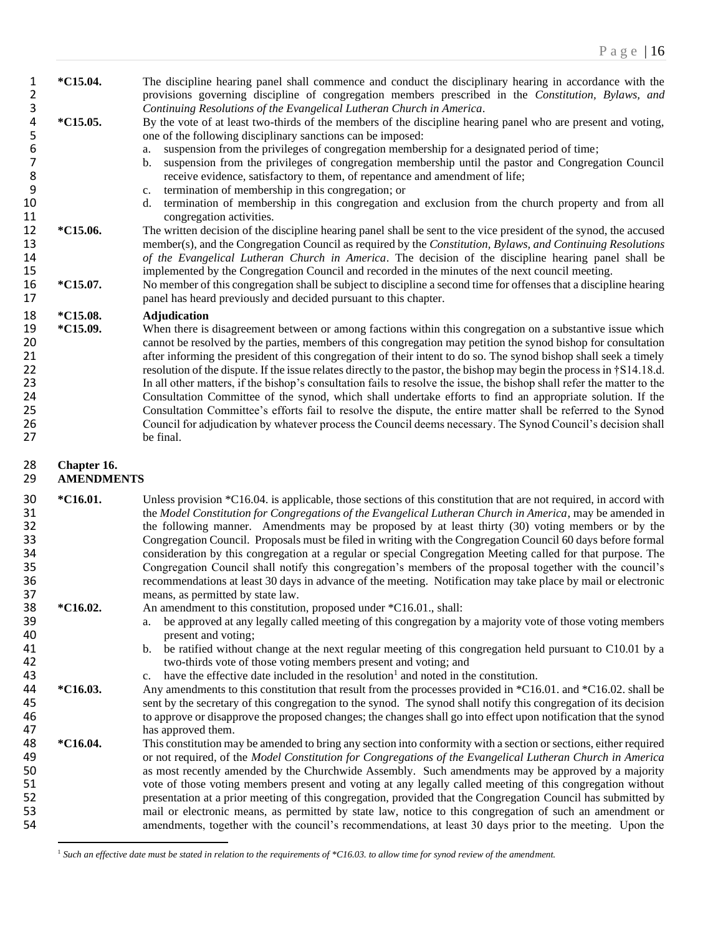| 1<br>2                                             | *C15.04.                         | The discipline hearing panel shall commence and conduct the disciplinary hearing in accordance with the<br>provisions governing discipline of congregation members prescribed in the Constitution, Bylaws, and                                                                                                                                                                                                                                                                                                                                                                                                                                                                                                                                                                                                                                                                                                                                                      |
|----------------------------------------------------|----------------------------------|---------------------------------------------------------------------------------------------------------------------------------------------------------------------------------------------------------------------------------------------------------------------------------------------------------------------------------------------------------------------------------------------------------------------------------------------------------------------------------------------------------------------------------------------------------------------------------------------------------------------------------------------------------------------------------------------------------------------------------------------------------------------------------------------------------------------------------------------------------------------------------------------------------------------------------------------------------------------|
| 3<br>4<br>5<br>6<br>7<br>8<br>9<br>10<br>11        | $*C15.05.$                       | Continuing Resolutions of the Evangelical Lutheran Church in America.<br>By the vote of at least two-thirds of the members of the discipline hearing panel who are present and voting,<br>one of the following disciplinary sanctions can be imposed:<br>suspension from the privileges of congregation membership for a designated period of time;<br>a.<br>suspension from the privileges of congregation membership until the pastor and Congregation Council<br>$\mathbf b$ .<br>receive evidence, satisfactory to them, of repentance and amendment of life;<br>termination of membership in this congregation; or<br>c.<br>termination of membership in this congregation and exclusion from the church property and from all<br>d.<br>congregation activities.                                                                                                                                                                                               |
| 12<br>13<br>14<br>15                               | *C15.06.                         | The written decision of the discipline hearing panel shall be sent to the vice president of the synod, the accused<br>member(s), and the Congregation Council as required by the Constitution, Bylaws, and Continuing Resolutions<br>of the Evangelical Lutheran Church in America. The decision of the discipline hearing panel shall be<br>implemented by the Congregation Council and recorded in the minutes of the next council meeting.                                                                                                                                                                                                                                                                                                                                                                                                                                                                                                                       |
| 16<br>17                                           | *C15.07.                         | No member of this congregation shall be subject to discipline a second time for offenses that a discipline hearing<br>panel has heard previously and decided pursuant to this chapter.                                                                                                                                                                                                                                                                                                                                                                                                                                                                                                                                                                                                                                                                                                                                                                              |
| 18                                                 | *C15.08.                         | <b>Adjudication</b>                                                                                                                                                                                                                                                                                                                                                                                                                                                                                                                                                                                                                                                                                                                                                                                                                                                                                                                                                 |
| 19<br>20<br>21<br>22<br>23<br>24<br>25<br>26<br>27 | *C15.09.                         | When there is disagreement between or among factions within this congregation on a substantive issue which<br>cannot be resolved by the parties, members of this congregation may petition the synod bishop for consultation<br>after informing the president of this congregation of their intent to do so. The synod bishop shall seek a timely<br>resolution of the dispute. If the issue relates directly to the pastor, the bishop may begin the process in †S14.18.d.<br>In all other matters, if the bishop's consultation fails to resolve the issue, the bishop shall refer the matter to the<br>Consultation Committee of the synod, which shall undertake efforts to find an appropriate solution. If the<br>Consultation Committee's efforts fail to resolve the dispute, the entire matter shall be referred to the Synod<br>Council for adjudication by whatever process the Council deems necessary. The Synod Council's decision shall<br>be final. |
|                                                    |                                  |                                                                                                                                                                                                                                                                                                                                                                                                                                                                                                                                                                                                                                                                                                                                                                                                                                                                                                                                                                     |
| 28<br>29                                           | Chapter 16.<br><b>AMENDMENTS</b> |                                                                                                                                                                                                                                                                                                                                                                                                                                                                                                                                                                                                                                                                                                                                                                                                                                                                                                                                                                     |
| 30<br>31<br>32<br>33<br>34<br>35<br>36             | *C16.01.                         | Unless provision *C16.04. is applicable, those sections of this constitution that are not required, in accord with<br>the Model Constitution for Congregations of the Evangelical Lutheran Church in America, may be amended in<br>the following manner. Amendments may be proposed by at least thirty (30) voting members or by the<br>Congregation Council. Proposals must be filed in writing with the Congregation Council 60 days before formal<br>consideration by this congregation at a regular or special Congregation Meeting called for that purpose. The<br>Congregation Council shall notify this congregation's members of the proposal together with the council's<br>recommendations at least 30 days in advance of the meeting. Notification may take place by mail or electronic                                                                                                                                                                  |
| 37<br>38                                           | *C16.02.                         | means, as permitted by state law.<br>An amendment to this constitution, proposed under *C16.01., shall:                                                                                                                                                                                                                                                                                                                                                                                                                                                                                                                                                                                                                                                                                                                                                                                                                                                             |
| 39                                                 |                                  | be approved at any legally called meeting of this congregation by a majority vote of those voting members<br>a.                                                                                                                                                                                                                                                                                                                                                                                                                                                                                                                                                                                                                                                                                                                                                                                                                                                     |
| 40                                                 |                                  | present and voting;                                                                                                                                                                                                                                                                                                                                                                                                                                                                                                                                                                                                                                                                                                                                                                                                                                                                                                                                                 |
| 41<br>42                                           |                                  | be ratified without change at the next regular meeting of this congregation held pursuant to C10.01 by a<br>b.<br>two-thirds vote of those voting members present and voting; and                                                                                                                                                                                                                                                                                                                                                                                                                                                                                                                                                                                                                                                                                                                                                                                   |
| 43                                                 |                                  | have the effective date included in the resolution <sup>1</sup> and noted in the constitution.<br>c.                                                                                                                                                                                                                                                                                                                                                                                                                                                                                                                                                                                                                                                                                                                                                                                                                                                                |
| 44                                                 | *C16.03.                         | Any amendments to this constitution that result from the processes provided in *C16.01. and *C16.02. shall be                                                                                                                                                                                                                                                                                                                                                                                                                                                                                                                                                                                                                                                                                                                                                                                                                                                       |
| 45                                                 |                                  | sent by the secretary of this congregation to the synod. The synod shall notify this congregation of its decision                                                                                                                                                                                                                                                                                                                                                                                                                                                                                                                                                                                                                                                                                                                                                                                                                                                   |
| 46                                                 |                                  | to approve or disapprove the proposed changes; the changes shall go into effect upon notification that the synod                                                                                                                                                                                                                                                                                                                                                                                                                                                                                                                                                                                                                                                                                                                                                                                                                                                    |
| 47                                                 |                                  | has approved them.                                                                                                                                                                                                                                                                                                                                                                                                                                                                                                                                                                                                                                                                                                                                                                                                                                                                                                                                                  |
| 48<br>49                                           | *C16.04.                         | This constitution may be amended to bring any section into conformity with a section or sections, either required<br>or not required, of the Model Constitution for Congregations of the Evangelical Lutheran Church in America                                                                                                                                                                                                                                                                                                                                                                                                                                                                                                                                                                                                                                                                                                                                     |
| 50                                                 |                                  | as most recently amended by the Churchwide Assembly. Such amendments may be approved by a majority                                                                                                                                                                                                                                                                                                                                                                                                                                                                                                                                                                                                                                                                                                                                                                                                                                                                  |
| 51                                                 |                                  | vote of those voting members present and voting at any legally called meeting of this congregation without                                                                                                                                                                                                                                                                                                                                                                                                                                                                                                                                                                                                                                                                                                                                                                                                                                                          |
| 52                                                 |                                  | presentation at a prior meeting of this congregation, provided that the Congregation Council has submitted by                                                                                                                                                                                                                                                                                                                                                                                                                                                                                                                                                                                                                                                                                                                                                                                                                                                       |
| 53<br>54                                           |                                  | mail or electronic means, as permitted by state law, notice to this congregation of such an amendment or<br>amendments, together with the council's recommendations, at least 30 days prior to the meeting. Upon the                                                                                                                                                                                                                                                                                                                                                                                                                                                                                                                                                                                                                                                                                                                                                |

*Such an effective date must be stated in relation to the requirements of \*C16.03. to allow time for synod review of the amendment.*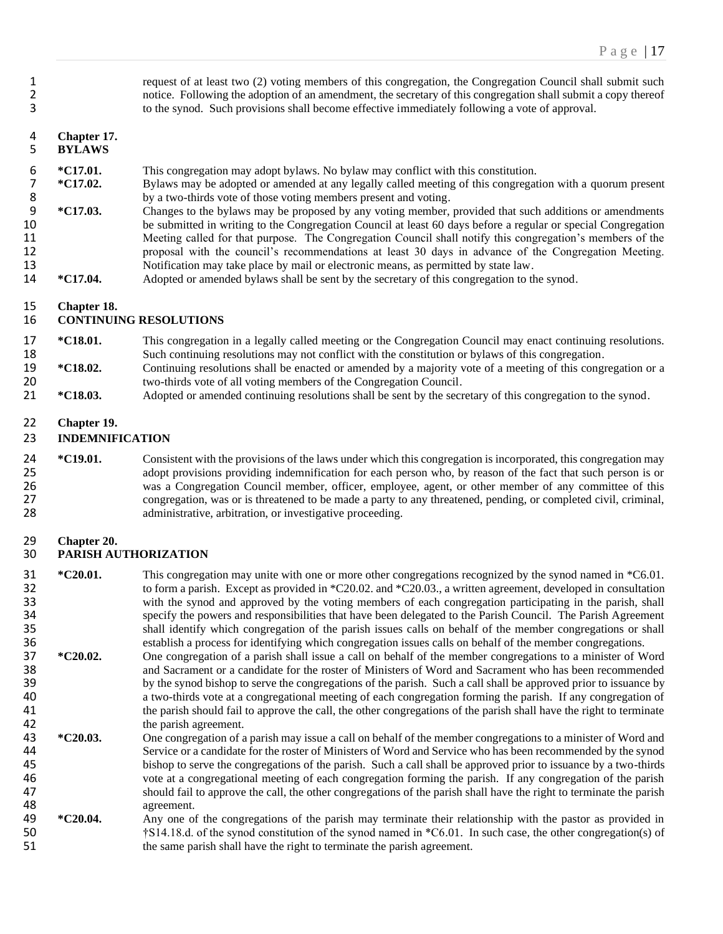| 1<br>$\overline{2}$<br>3         |                                       | request of at least two (2) voting members of this congregation, the Congregation Council shall submit such<br>notice. Following the adoption of an amendment, the secretary of this congregation shall submit a copy thereof<br>to the synod. Such provisions shall become effective immediately following a vote of approval.                                                                                                                                                                                                                                                                                                                                                      |
|----------------------------------|---------------------------------------|--------------------------------------------------------------------------------------------------------------------------------------------------------------------------------------------------------------------------------------------------------------------------------------------------------------------------------------------------------------------------------------------------------------------------------------------------------------------------------------------------------------------------------------------------------------------------------------------------------------------------------------------------------------------------------------|
| 4<br>5                           | Chapter 17.<br><b>BYLAWS</b>          |                                                                                                                                                                                                                                                                                                                                                                                                                                                                                                                                                                                                                                                                                      |
| 6<br>7<br>8<br>9<br>10           | *C17.01.<br>*C17.02.<br>*C17.03.      | This congregation may adopt bylaws. No bylaw may conflict with this constitution.<br>Bylaws may be adopted or amended at any legally called meeting of this congregation with a quorum present<br>by a two-thirds vote of those voting members present and voting.<br>Changes to the bylaws may be proposed by any voting member, provided that such additions or amendments<br>be submitted in writing to the Congregation Council at least 60 days before a regular or special Congregation                                                                                                                                                                                        |
| 11<br>12<br>13<br>14             | $*C17.04.$                            | Meeting called for that purpose. The Congregation Council shall notify this congregation's members of the<br>proposal with the council's recommendations at least 30 days in advance of the Congregation Meeting.<br>Notification may take place by mail or electronic means, as permitted by state law.<br>Adopted or amended bylaws shall be sent by the secretary of this congregation to the synod.                                                                                                                                                                                                                                                                              |
| 15<br>16                         | Chapter 18.                           | <b>CONTINUING RESOLUTIONS</b>                                                                                                                                                                                                                                                                                                                                                                                                                                                                                                                                                                                                                                                        |
| 17<br>18                         | *C18.01.                              | This congregation in a legally called meeting or the Congregation Council may enact continuing resolutions.<br>Such continuing resolutions may not conflict with the constitution or bylaws of this congregation.                                                                                                                                                                                                                                                                                                                                                                                                                                                                    |
| 19<br>20                         | *C18.02.                              | Continuing resolutions shall be enacted or amended by a majority vote of a meeting of this congregation or a<br>two-thirds vote of all voting members of the Congregation Council.                                                                                                                                                                                                                                                                                                                                                                                                                                                                                                   |
| 21                               | *C18.03.                              | Adopted or amended continuing resolutions shall be sent by the secretary of this congregation to the synod.                                                                                                                                                                                                                                                                                                                                                                                                                                                                                                                                                                          |
| 22<br>23                         | Chapter 19.<br><b>INDEMNIFICATION</b> |                                                                                                                                                                                                                                                                                                                                                                                                                                                                                                                                                                                                                                                                                      |
| 24<br>25<br>26<br>27<br>28       | *C19.01.                              | Consistent with the provisions of the laws under which this congregation is incorporated, this congregation may<br>adopt provisions providing indemnification for each person who, by reason of the fact that such person is or<br>was a Congregation Council member, officer, employee, agent, or other member of any committee of this<br>congregation, was or is threatened to be made a party to any threatened, pending, or completed civil, criminal,<br>administrative, arbitration, or investigative proceeding.                                                                                                                                                             |
| 29<br>30                         | Chapter 20.<br>PARISH AUTHORIZATION   |                                                                                                                                                                                                                                                                                                                                                                                                                                                                                                                                                                                                                                                                                      |
| 31<br>32<br>33<br>34<br>35<br>36 | *C20.01.                              | This congregation may unite with one or more other congregations recognized by the synod named in *C6.01.<br>to form a parish. Except as provided in *C20.02. and *C20.03., a written agreement, developed in consultation<br>with the synod and approved by the voting members of each congregation participating in the parish, shall<br>specify the powers and responsibilities that have been delegated to the Parish Council. The Parish Agreement<br>shall identify which congregation of the parish issues calls on behalf of the member congregations or shall<br>establish a process for identifying which congregation issues calls on behalf of the member congregations. |
| 37<br>38<br>39<br>40<br>41<br>42 | *C20.02.                              | One congregation of a parish shall issue a call on behalf of the member congregations to a minister of Word<br>and Sacrament or a candidate for the roster of Ministers of Word and Sacrament who has been recommended<br>by the synod bishop to serve the congregations of the parish. Such a call shall be approved prior to issuance by<br>a two-thirds vote at a congregational meeting of each congregation forming the parish. If any congregation of<br>the parish should fail to approve the call, the other congregations of the parish shall have the right to terminate<br>the parish agreement.                                                                          |
| 43                               | $*C20.03.$                            | One congregation of a parish may issue a call on behalf of the member congregations to a minister of Word and                                                                                                                                                                                                                                                                                                                                                                                                                                                                                                                                                                        |

- 44 Service or a candidate for the roster of Ministers of Word and Service who has been recommended by the synod<br>45 bishop to serve the congregations of the parish. Such a call shall be approved prior to issuance by a two-t 45 bishop to serve the congregations of the parish. Such a call shall be approved prior to issuance by a two-thirds<br>46 vote at a congregational meeting of each congregation forming the parish. If any congregation of the pa 46 vote at a congregational meeting of each congregation forming the parish. If any congregation of the parish<br>47 should fail to approve the call, the other congregations of the parish shall have the right to terminate the 47 should fail to approve the call, the other congregations of the parish shall have the right to terminate the parish agreement. 48 agreement.<br>49 \*C20.04. Any one of
- **\*C20.04.** Any one of the congregations of the parish may terminate their relationship with the pastor as provided in  $\frac{1}{1}$  S14.18.d. of the synod constitution of the synod named in  $\frac{1}{1}$  SC.01. In such case, the o †S14.18.d. of the synod constitution of the synod named in \*C6.01. In such case, the other congregation(s) of the same parish shall have the right to terminate the parish agreement.